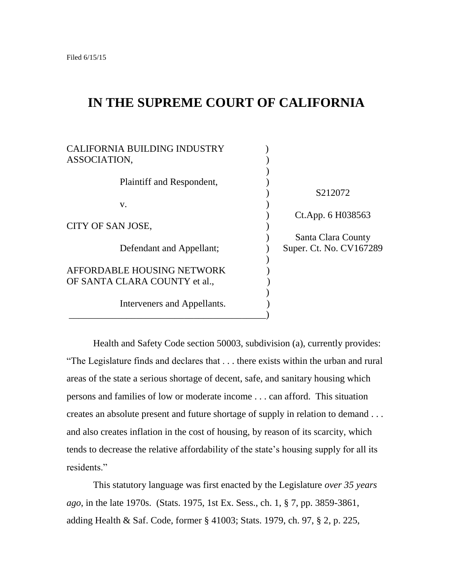# **IN THE SUPREME COURT OF CALIFORNIA**

| CALIFORNIA BUILDING INDUSTRY<br>ASSOCIATION.                |                                               |
|-------------------------------------------------------------|-----------------------------------------------|
| Plaintiff and Respondent,<br>V.                             | S212072                                       |
| CITY OF SAN JOSE,                                           | Ct.App. 6 H038563                             |
| Defendant and Appellant;                                    | Santa Clara County<br>Super. Ct. No. CV167289 |
| AFFORDABLE HOUSING NETWORK<br>OF SANTA CLARA COUNTY et al., |                                               |
| Interveners and Appellants.                                 |                                               |

Health and Safety Code section 50003, subdivision (a), currently provides: "The Legislature finds and declares that . . . there exists within the urban and rural areas of the state a serious shortage of decent, safe, and sanitary housing which persons and families of low or moderate income . . . can afford. This situation creates an absolute present and future shortage of supply in relation to demand . . . and also creates inflation in the cost of housing, by reason of its scarcity, which tends to decrease the relative affordability of the state's housing supply for all its residents."

This statutory language was first enacted by the Legislature *over 35 years ago*, in the late 1970s. (Stats. 1975, 1st Ex. Sess., ch. 1, § 7, pp. 3859-3861, adding Health & Saf. Code, former § 41003; Stats. 1979, ch. 97, § 2, p. 225,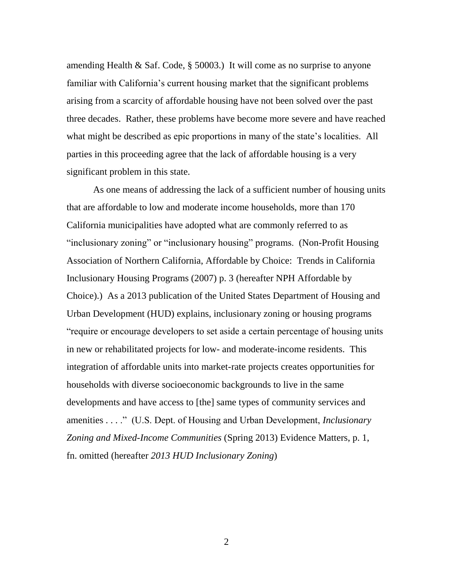amending Health & Saf. Code, § 50003.) It will come as no surprise to anyone familiar with California's current housing market that the significant problems arising from a scarcity of affordable housing have not been solved over the past three decades. Rather, these problems have become more severe and have reached what might be described as epic proportions in many of the state's localities. All parties in this proceeding agree that the lack of affordable housing is a very significant problem in this state.

As one means of addressing the lack of a sufficient number of housing units that are affordable to low and moderate income households, more than 170 California municipalities have adopted what are commonly referred to as "inclusionary zoning" or "inclusionary housing" programs. (Non-Profit Housing Association of Northern California, Affordable by Choice: Trends in California Inclusionary Housing Programs (2007) p. 3 (hereafter NPH Affordable by Choice).) As a 2013 publication of the United States Department of Housing and Urban Development (HUD) explains, inclusionary zoning or housing programs ―require or encourage developers to set aside a certain percentage of housing units in new or rehabilitated projects for low- and moderate-income residents. This integration of affordable units into market-rate projects creates opportunities for households with diverse socioeconomic backgrounds to live in the same developments and have access to [the] same types of community services and amenities . . . ." (U.S. Dept. of Housing and Urban Development, *Inclusionary Zoning and Mixed-Income Communities* (Spring 2013) Evidence Matters, p. 1, fn. omitted (hereafter *2013 HUD Inclusionary Zoning*)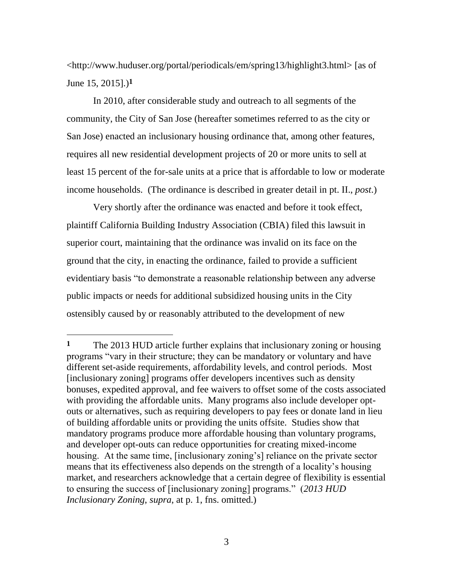<http://www.huduser.org/portal/periodicals/em/spring13/highlight3.html> [as of June 15, 2015].)**1**

In 2010, after considerable study and outreach to all segments of the community, the City of San Jose (hereafter sometimes referred to as the city or San Jose) enacted an inclusionary housing ordinance that, among other features, requires all new residential development projects of 20 or more units to sell at least 15 percent of the for-sale units at a price that is affordable to low or moderate income households. (The ordinance is described in greater detail in pt. II., *post*.)

Very shortly after the ordinance was enacted and before it took effect, plaintiff California Building Industry Association (CBIA) filed this lawsuit in superior court, maintaining that the ordinance was invalid on its face on the ground that the city, in enacting the ordinance, failed to provide a sufficient evidentiary basis "to demonstrate a reasonable relationship between any adverse public impacts or needs for additional subsidized housing units in the City ostensibly caused by or reasonably attributed to the development of new

 $\overline{a}$ 

**<sup>1</sup>** The 2013 HUD article further explains that inclusionary zoning or housing programs "vary in their structure; they can be mandatory or voluntary and have different set-aside requirements, affordability levels, and control periods. Most [inclusionary zoning] programs offer developers incentives such as density bonuses, expedited approval, and fee waivers to offset some of the costs associated with providing the affordable units. Many programs also include developer optouts or alternatives, such as requiring developers to pay fees or donate land in lieu of building affordable units or providing the units offsite. Studies show that mandatory programs produce more affordable housing than voluntary programs, and developer opt-outs can reduce opportunities for creating mixed-income housing. At the same time, [inclusionary zoning's] reliance on the private sector means that its effectiveness also depends on the strength of a locality's housing market, and researchers acknowledge that a certain degree of flexibility is essential to ensuring the success of [inclusionary zoning] programs.‖ (*2013 HUD Inclusionary Zoning*, *supra*, at p. 1, fns. omitted.)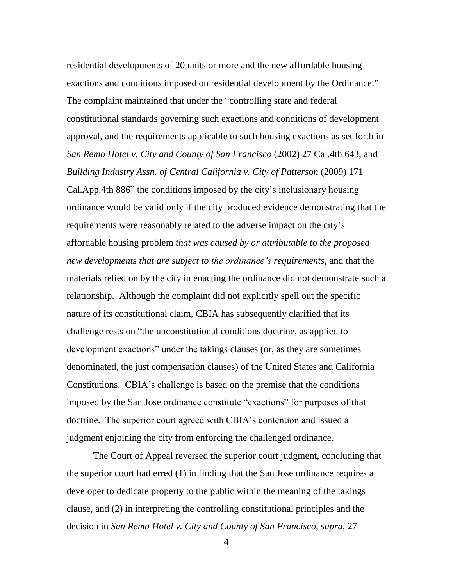residential developments of 20 units or more and the new affordable housing exactions and conditions imposed on residential development by the Ordinance." The complaint maintained that under the "controlling state and federal constitutional standards governing such exactions and conditions of development approval, and the requirements applicable to such housing exactions as set forth in *San Remo Hotel v. City and County of San Francisco* (2002) 27 Cal.4th 643, and *Building Industry Assn. of Central California v. City of Patterson* (2009) 171 Cal.App.4th 886" the conditions imposed by the city's inclusionary housing ordinance would be valid only if the city produced evidence demonstrating that the requirements were reasonably related to the adverse impact on the city's affordable housing problem *that was caused by or attributable to the proposed new developments that are subject to the ordinance's requirements*, and that the materials relied on by the city in enacting the ordinance did not demonstrate such a relationship. Although the complaint did not explicitly spell out the specific nature of its constitutional claim, CBIA has subsequently clarified that its challenge rests on "the unconstitutional conditions doctrine, as applied to development exactions" under the takings clauses (or, as they are sometimes denominated, the just compensation clauses) of the United States and California Constitutions. CBIA's challenge is based on the premise that the conditions imposed by the San Jose ordinance constitute "exactions" for purposes of that doctrine. The superior court agreed with CBIA's contention and issued a judgment enjoining the city from enforcing the challenged ordinance.

The Court of Appeal reversed the superior court judgment, concluding that the superior court had erred (1) in finding that the San Jose ordinance requires a developer to dedicate property to the public within the meaning of the takings clause, and (2) in interpreting the controlling constitutional principles and the decision in *San Remo Hotel v. City and County of San Francisco, supra,* 27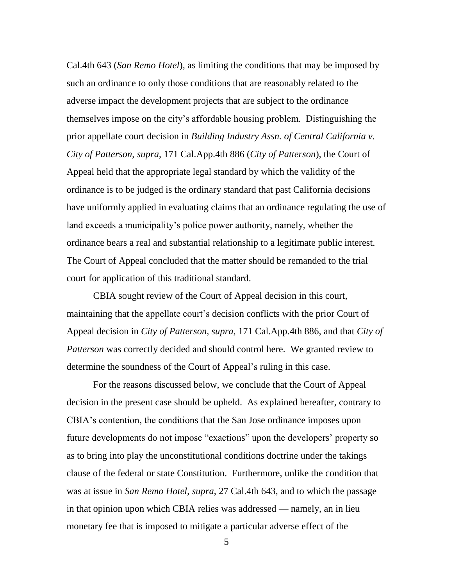Cal.4th 643 (*San Remo Hotel*), as limiting the conditions that may be imposed by such an ordinance to only those conditions that are reasonably related to the adverse impact the development projects that are subject to the ordinance themselves impose on the city's affordable housing problem. Distinguishing the prior appellate court decision in *Building Industry Assn. of Central California v. City of Patterson*, *supra*, 171 Cal.App.4th 886 (*City of Patterson*), the Court of Appeal held that the appropriate legal standard by which the validity of the ordinance is to be judged is the ordinary standard that past California decisions have uniformly applied in evaluating claims that an ordinance regulating the use of land exceeds a municipality's police power authority, namely, whether the ordinance bears a real and substantial relationship to a legitimate public interest. The Court of Appeal concluded that the matter should be remanded to the trial court for application of this traditional standard.

CBIA sought review of the Court of Appeal decision in this court, maintaining that the appellate court's decision conflicts with the prior Court of Appeal decision in *City of Patterson*, *supra*, 171 Cal.App.4th 886, and that *City of Patterson* was correctly decided and should control here. We granted review to determine the soundness of the Court of Appeal's ruling in this case.

For the reasons discussed below, we conclude that the Court of Appeal decision in the present case should be upheld. As explained hereafter, contrary to CBIA's contention, the conditions that the San Jose ordinance imposes upon future developments do not impose "exactions" upon the developers' property so as to bring into play the unconstitutional conditions doctrine under the takings clause of the federal or state Constitution. Furthermore, unlike the condition that was at issue in *San Remo Hotel*, *supra*, 27 Cal.4th 643, and to which the passage in that opinion upon which CBIA relies was addressed — namely, an in lieu monetary fee that is imposed to mitigate a particular adverse effect of the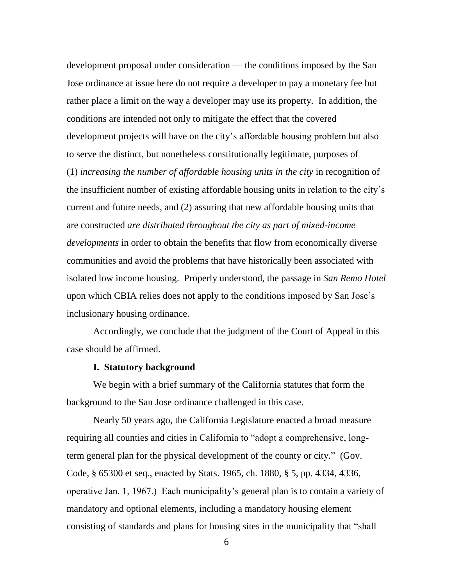development proposal under consideration — the conditions imposed by the San Jose ordinance at issue here do not require a developer to pay a monetary fee but rather place a limit on the way a developer may use its property. In addition, the conditions are intended not only to mitigate the effect that the covered development projects will have on the city's affordable housing problem but also to serve the distinct, but nonetheless constitutionally legitimate, purposes of (1) *increasing the number of affordable housing units in the city* in recognition of the insufficient number of existing affordable housing units in relation to the city's current and future needs, and (2) assuring that new affordable housing units that are constructed *are distributed throughout the city as part of mixed-income developments* in order to obtain the benefits that flow from economically diverse communities and avoid the problems that have historically been associated with isolated low income housing. Properly understood, the passage in *San Remo Hotel* upon which CBIA relies does not apply to the conditions imposed by San Jose's inclusionary housing ordinance.

Accordingly, we conclude that the judgment of the Court of Appeal in this case should be affirmed.

## **I. Statutory background**

We begin with a brief summary of the California statutes that form the background to the San Jose ordinance challenged in this case.

Nearly 50 years ago, the California Legislature enacted a broad measure requiring all counties and cities in California to "adopt a comprehensive, longterm general plan for the physical development of the county or city." (Gov. Code, § 65300 et seq., enacted by Stats. 1965, ch. 1880, § 5, pp. 4334, 4336, operative Jan. 1, 1967.) Each municipality's general plan is to contain a variety of mandatory and optional elements, including a mandatory housing element consisting of standards and plans for housing sites in the municipality that "shall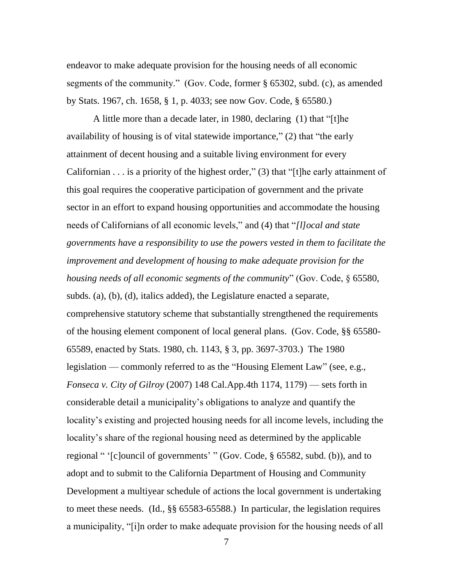endeavor to make adequate provision for the housing needs of all economic segments of the community." (Gov. Code, former § 65302, subd. (c), as amended by Stats. 1967, ch. 1658, § 1, p. 4033; see now Gov. Code, § 65580.)

A little more than a decade later, in 1980, declaring  $(1)$  that "[t]he availability of housing is of vital statewide importance,"  $(2)$  that "the early attainment of decent housing and a suitable living environment for every Californian  $\dots$  is a priority of the highest order," (3) that "[t]he early attainment of this goal requires the cooperative participation of government and the private sector in an effort to expand housing opportunities and accommodate the housing needs of Californians of all economic levels," and (4) that "[*l]ocal and state governments have a responsibility to use the powers vested in them to facilitate the improvement and development of housing to make adequate provision for the housing needs of all economic segments of the community*‖ (Gov. Code, § 65580, subds. (a), (b), (d), italics added), the Legislature enacted a separate, comprehensive statutory scheme that substantially strengthened the requirements of the housing element component of local general plans. (Gov. Code, §§ 65580- 65589, enacted by Stats. 1980, ch. 1143, § 3, pp. 3697-3703.) The 1980 legislation — commonly referred to as the "Housing Element Law" (see, e.g., *Fonseca v. City of Gilroy* (2007) 148 Cal.App.4th 1174, 1179) — sets forth in considerable detail a municipality's obligations to analyze and quantify the locality's existing and projected housing needs for all income levels, including the locality's share of the regional housing need as determined by the applicable regional " '[c]ouncil of governments' " (Gov. Code, § 65582, subd. (b)), and to adopt and to submit to the California Department of Housing and Community Development a multiyear schedule of actions the local government is undertaking to meet these needs. (Id., §§ 65583-65588.) In particular, the legislation requires a municipality, "[i]n order to make adequate provision for the housing needs of all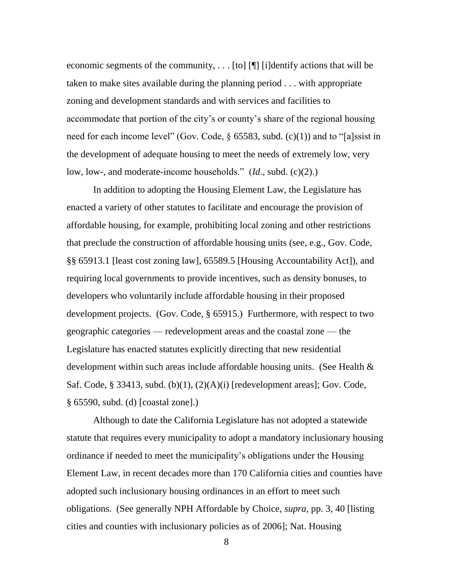economic segments of the community,  $\dots$  [to] [ $\parallel$ ] [i]dentify actions that will be taken to make sites available during the planning period . . . with appropriate zoning and development standards and with services and facilities to accommodate that portion of the city's or county's share of the regional housing need for each income level" (Gov. Code,  $\S$  65583, subd. (c)(1)) and to "[a]ssist in the development of adequate housing to meet the needs of extremely low, very low, low-, and moderate-income households." (*Id.*, subd. (c)(2).)

In addition to adopting the Housing Element Law, the Legislature has enacted a variety of other statutes to facilitate and encourage the provision of affordable housing, for example, prohibiting local zoning and other restrictions that preclude the construction of affordable housing units (see, e.g., Gov. Code, §§ 65913.1 [least cost zoning law], 65589.5 [Housing Accountability Act]), and requiring local governments to provide incentives, such as density bonuses, to developers who voluntarily include affordable housing in their proposed development projects. (Gov. Code, § 65915.) Furthermore, with respect to two geographic categories — redevelopment areas and the coastal zone — the Legislature has enacted statutes explicitly directing that new residential development within such areas include affordable housing units. (See Health & Saf. Code, § 33413, subd. (b)(1), (2)(A)(i) [redevelopment areas]; Gov. Code, § 65590, subd. (d) [coastal zone].)

Although to date the California Legislature has not adopted a statewide statute that requires every municipality to adopt a mandatory inclusionary housing ordinance if needed to meet the municipality's obligations under the Housing Element Law, in recent decades more than 170 California cities and counties have adopted such inclusionary housing ordinances in an effort to meet such obligations. (See generally NPH Affordable by Choice, *supra*, pp. 3, 40 [listing cities and counties with inclusionary policies as of 2006]; Nat. Housing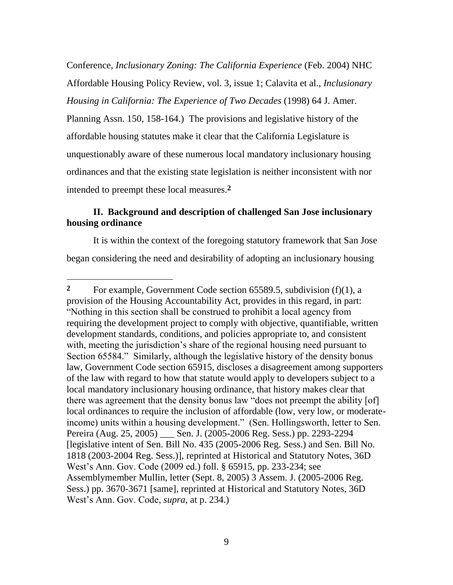Conference*, Inclusionary Zoning: The California Experience* (Feb. 2004) NHC Affordable Housing Policy Review, vol. 3, issue 1; Calavita et al., *Inclusionary Housing in California: The Experience of Two Decades* (1998) 64 J. Amer. Planning Assn. 150, 158-164.) The provisions and legislative history of the

affordable housing statutes make it clear that the California Legislature is unquestionably aware of these numerous local mandatory inclusionary housing ordinances and that the existing state legislation is neither inconsistent with nor intended to preempt these local measures.**2**

## **II. Background and description of challenged San Jose inclusionary housing ordinance**

It is within the context of the foregoing statutory framework that San Jose began considering the need and desirability of adopting an inclusionary housing

**<sup>2</sup>** For example, Government Code section 65589.5, subdivision (f)(1), a provision of the Housing Accountability Act, provides in this regard, in part: ―Nothing in this section shall be construed to prohibit a local agency from requiring the development project to comply with objective, quantifiable, written development standards, conditions, and policies appropriate to, and consistent with, meeting the jurisdiction's share of the regional housing need pursuant to Section 65584." Similarly, although the legislative history of the density bonus law, Government Code section 65915, discloses a disagreement among supporters of the law with regard to how that statute would apply to developers subject to a local mandatory inclusionary housing ordinance, that history makes clear that there was agreement that the density bonus law "does not preempt the ability [of] local ordinances to require the inclusion of affordable (low, very low, or moderateincome) units within a housing development." (Sen. Hollingsworth, letter to Sen. Pereira (Aug. 25, 2005) \_\_\_ Sen. J. (2005-2006 Reg. Sess.) pp. 2293-2294 [legislative intent of Sen. Bill No. 435 (2005-2006 Reg. Sess.) and Sen. Bill No. 1818 (2003-2004 Reg. Sess.)], reprinted at Historical and Statutory Notes, 36D West's Ann. Gov. Code (2009 ed.) foll. § 65915, pp. 233-234; see Assemblymember Mullin, letter (Sept. 8, 2005) 3 Assem. J. (2005-2006 Reg. Sess.) pp. 3670-3671 [same], reprinted at Historical and Statutory Notes, 36D West's Ann. Gov. Code, *supra*, at p. 234.)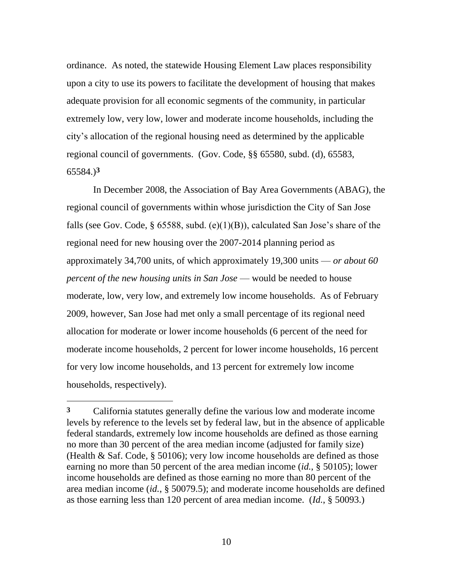ordinance. As noted, the statewide Housing Element Law places responsibility upon a city to use its powers to facilitate the development of housing that makes adequate provision for all economic segments of the community, in particular extremely low, very low, lower and moderate income households, including the city's allocation of the regional housing need as determined by the applicable regional council of governments. (Gov. Code, §§ 65580, subd. (d), 65583, 65584.)**3**

In December 2008, the Association of Bay Area Governments (ABAG), the regional council of governments within whose jurisdiction the City of San Jose falls (see Gov. Code,  $\S$  65588, subd. (e)(1)(B)), calculated San Jose's share of the regional need for new housing over the 2007-2014 planning period as approximately 34,700 units, of which approximately 19,300 units — *or about 60 percent of the new housing unit*s *in San Jose* — would be needed to house moderate, low, very low, and extremely low income households. As of February 2009, however, San Jose had met only a small percentage of its regional need allocation for moderate or lower income households (6 percent of the need for moderate income households, 2 percent for lower income households, 16 percent for very low income households, and 13 percent for extremely low income households, respectively).

 $\overline{a}$ 

**<sup>3</sup>** California statutes generally define the various low and moderate income levels by reference to the levels set by federal law, but in the absence of applicable federal standards, extremely low income households are defined as those earning no more than 30 percent of the area median income (adjusted for family size) (Health & Saf. Code, § 50106); very low income households are defined as those earning no more than 50 percent of the area median income (*id.*, § 50105); lower income households are defined as those earning no more than 80 percent of the area median income (*id.*, § 50079.5); and moderate income households are defined as those earning less than 120 percent of area median income. (*Id.*, § 50093.)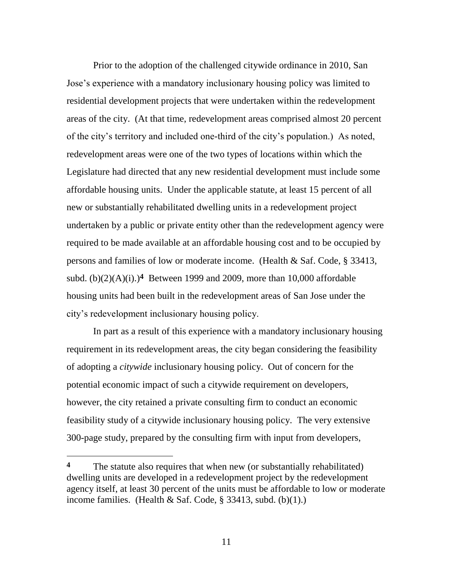Prior to the adoption of the challenged citywide ordinance in 2010, San Jose's experience with a mandatory inclusionary housing policy was limited to residential development projects that were undertaken within the redevelopment areas of the city. (At that time, redevelopment areas comprised almost 20 percent of the city's territory and included one-third of the city's population.) As noted, redevelopment areas were one of the two types of locations within which the Legislature had directed that any new residential development must include some affordable housing units. Under the applicable statute, at least 15 percent of all new or substantially rehabilitated dwelling units in a redevelopment project undertaken by a public or private entity other than the redevelopment agency were required to be made available at an affordable housing cost and to be occupied by persons and families of low or moderate income. (Health & Saf. Code, § 33413, subd.  $(b)(2)(A)(i)$ <sup>4</sup> Between 1999 and 2009, more than 10,000 affordable housing units had been built in the redevelopment areas of San Jose under the city's redevelopment inclusionary housing policy.

In part as a result of this experience with a mandatory inclusionary housing requirement in its redevelopment areas, the city began considering the feasibility of adopting a *citywide* inclusionary housing policy. Out of concern for the potential economic impact of such a citywide requirement on developers, however, the city retained a private consulting firm to conduct an economic feasibility study of a citywide inclusionary housing policy. The very extensive 300-page study, prepared by the consulting firm with input from developers,

**<sup>4</sup>** The statute also requires that when new (or substantially rehabilitated) dwelling units are developed in a redevelopment project by the redevelopment agency itself, at least 30 percent of the units must be affordable to low or moderate income families. (Health & Saf. Code,  $\S$  33413, subd. (b)(1).)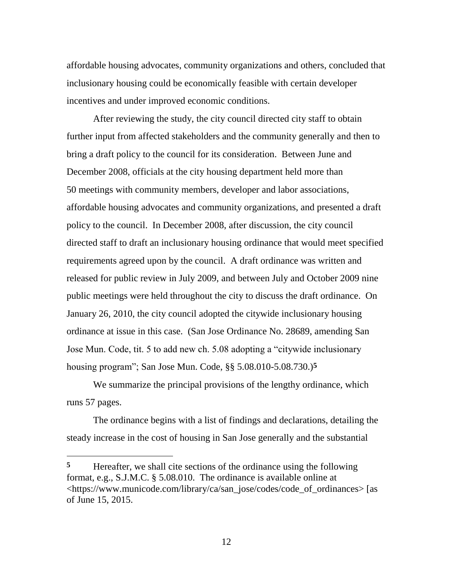affordable housing advocates, community organizations and others, concluded that inclusionary housing could be economically feasible with certain developer incentives and under improved economic conditions.

After reviewing the study, the city council directed city staff to obtain further input from affected stakeholders and the community generally and then to bring a draft policy to the council for its consideration. Between June and December 2008, officials at the city housing department held more than 50 meetings with community members, developer and labor associations, affordable housing advocates and community organizations, and presented a draft policy to the council. In December 2008, after discussion, the city council directed staff to draft an inclusionary housing ordinance that would meet specified requirements agreed upon by the council. A draft ordinance was written and released for public review in July 2009, and between July and October 2009 nine public meetings were held throughout the city to discuss the draft ordinance. On January 26, 2010, the city council adopted the citywide inclusionary housing ordinance at issue in this case. (San Jose Ordinance No. 28689, amending San Jose Mun. Code, tit. 5 to add new ch. 5.08 adopting a "citywide inclusionary" housing program"; San Jose Mun. Code, §§ 5.08.010-5.08.730.)<sup>5</sup>

We summarize the principal provisions of the lengthy ordinance, which runs 57 pages.

The ordinance begins with a list of findings and declarations, detailing the steady increase in the cost of housing in San Jose generally and the substantial

**<sup>5</sup>** Hereafter, we shall cite sections of the ordinance using the following format, e.g., S.J.M.C. § 5.08.010. The ordinance is available online at <https://www.municode.com/library/ca/san\_jose/codes/code\_of\_ordinances> [as of June 15, 2015.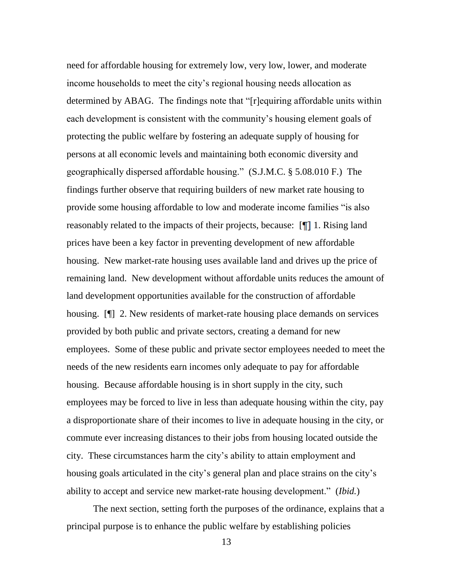need for affordable housing for extremely low, very low, lower, and moderate income households to meet the city's regional housing needs allocation as determined by ABAG. The findings note that "[r]equiring affordable units within each development is consistent with the community's housing element goals of protecting the public welfare by fostering an adequate supply of housing for persons at all economic levels and maintaining both economic diversity and geographically dispersed affordable housing."  $(S.J.M.C. § 5.08.010 F.)$  The findings further observe that requiring builders of new market rate housing to provide some housing affordable to low and moderate income families "is also reasonably related to the impacts of their projects, because:  $[\P]$  1. Rising land prices have been a key factor in preventing development of new affordable housing. New market-rate housing uses available land and drives up the price of remaining land. New development without affordable units reduces the amount of land development opportunities available for the construction of affordable housing. [¶] 2. New residents of market-rate housing place demands on services provided by both public and private sectors, creating a demand for new employees. Some of these public and private sector employees needed to meet the needs of the new residents earn incomes only adequate to pay for affordable housing. Because affordable housing is in short supply in the city, such employees may be forced to live in less than adequate housing within the city, pay a disproportionate share of their incomes to live in adequate housing in the city, or commute ever increasing distances to their jobs from housing located outside the city. These circumstances harm the city's ability to attain employment and housing goals articulated in the city's general plan and place strains on the city's ability to accept and service new market-rate housing development." *(Ibid.)* 

The next section, setting forth the purposes of the ordinance, explains that a principal purpose is to enhance the public welfare by establishing policies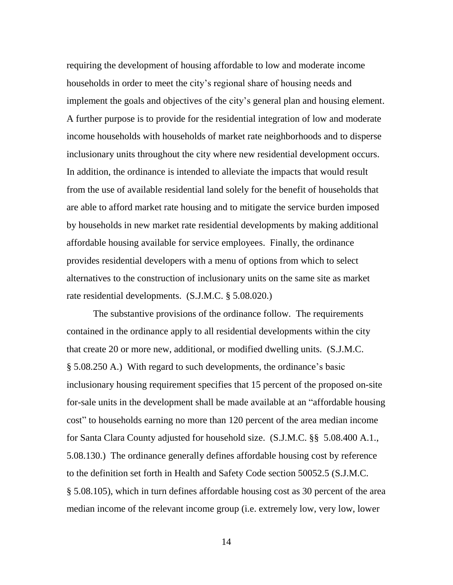requiring the development of housing affordable to low and moderate income households in order to meet the city's regional share of housing needs and implement the goals and objectives of the city's general plan and housing element. A further purpose is to provide for the residential integration of low and moderate income households with households of market rate neighborhoods and to disperse inclusionary units throughout the city where new residential development occurs. In addition, the ordinance is intended to alleviate the impacts that would result from the use of available residential land solely for the benefit of households that are able to afford market rate housing and to mitigate the service burden imposed by households in new market rate residential developments by making additional affordable housing available for service employees. Finally, the ordinance provides residential developers with a menu of options from which to select alternatives to the construction of inclusionary units on the same site as market rate residential developments. (S.J.M.C. § 5.08.020.)

The substantive provisions of the ordinance follow. The requirements contained in the ordinance apply to all residential developments within the city that create 20 or more new, additional, or modified dwelling units. (S.J.M.C. § 5.08.250 A.) With regard to such developments, the ordinance's basic inclusionary housing requirement specifies that 15 percent of the proposed on-site for-sale units in the development shall be made available at an "affordable housing" cost" to households earning no more than 120 percent of the area median income for Santa Clara County adjusted for household size. (S.J.M.C. §§ 5.08.400 A.1., 5.08.130.) The ordinance generally defines affordable housing cost by reference to the definition set forth in Health and Safety Code section 50052.5 (S.J.M.C. § 5.08.105), which in turn defines affordable housing cost as 30 percent of the area median income of the relevant income group (i.e. extremely low, very low, lower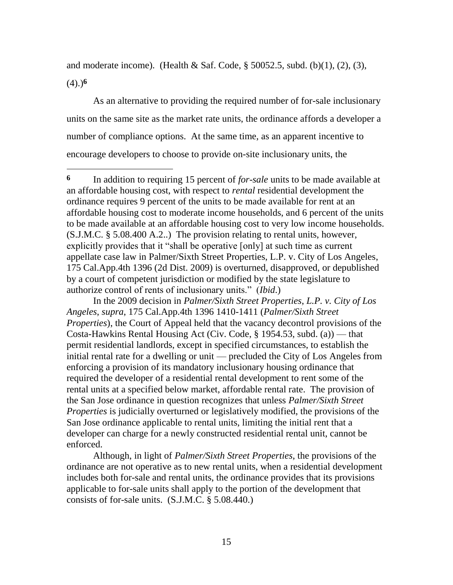and moderate income). (Health & Saf. Code, § 50052.5, subd. (b)(1), (2), (3), (4).)**6**

As an alternative to providing the required number of for-sale inclusionary units on the same site as the market rate units, the ordinance affords a developer a number of compliance options. At the same time, as an apparent incentive to encourage developers to choose to provide on-site inclusionary units, the

In the 2009 decision in *Palmer/Sixth Street Properties*, *L.P. v. City of Los Angeles*, *supra*, 175 Cal.App.4th 1396 1410-1411 (*Palmer/Sixth Street Properties*), the Court of Appeal held that the vacancy decontrol provisions of the Costa-Hawkins Rental Housing Act (Civ. Code, § 1954.53, subd. (a)) — that permit residential landlords, except in specified circumstances, to establish the initial rental rate for a dwelling or unit — precluded the City of Los Angeles from enforcing a provision of its mandatory inclusionary housing ordinance that required the developer of a residential rental development to rent some of the rental units at a specified below market, affordable rental rate. The provision of the San Jose ordinance in question recognizes that unless *Palmer/Sixth Street Properties* is judicially overturned or legislatively modified, the provisions of the San Jose ordinance applicable to rental units, limiting the initial rent that a developer can charge for a newly constructed residential rental unit, cannot be enforced.

Although, in light of *Palmer/Sixth Street Properties*, the provisions of the ordinance are not operative as to new rental units, when a residential development includes both for-sale and rental units, the ordinance provides that its provisions applicable to for-sale units shall apply to the portion of the development that consists of for-sale units. (S.J.M.C. § 5.08.440.)

**<sup>6</sup>** In addition to requiring 15 percent of *for-sale* units to be made available at an affordable housing cost, with respect to *rental* residential development the ordinance requires 9 percent of the units to be made available for rent at an affordable housing cost to moderate income households, and 6 percent of the units to be made available at an affordable housing cost to very low income households. (S.J.M.C. § 5.08.400 A.2..) The provision relating to rental units, however, explicitly provides that it "shall be operative [only] at such time as current appellate case law in Palmer/Sixth Street Properties, L.P. v. City of Los Angeles, 175 Cal.App.4th 1396 (2d Dist. 2009) is overturned, disapproved, or depublished by a court of competent jurisdiction or modified by the state legislature to authorize control of rents of inclusionary units." (*Ibid.*)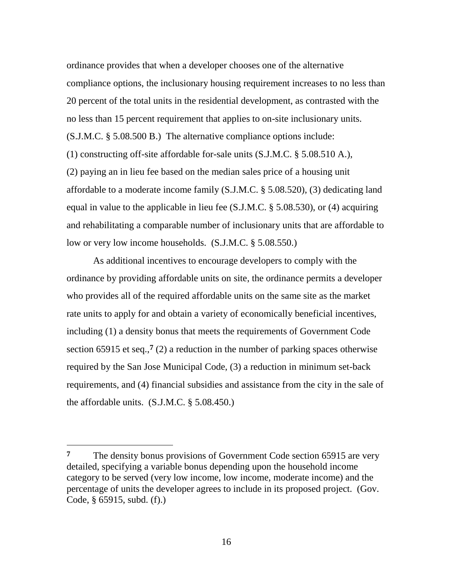ordinance provides that when a developer chooses one of the alternative compliance options, the inclusionary housing requirement increases to no less than 20 percent of the total units in the residential development, as contrasted with the no less than 15 percent requirement that applies to on-site inclusionary units. (S.J.M.C. § 5.08.500 B.) The alternative compliance options include: (1) constructing off-site affordable for-sale units (S.J.M.C. § 5.08.510 A.), (2) paying an in lieu fee based on the median sales price of a housing unit affordable to a moderate income family (S.J.M.C. § 5.08.520), (3) dedicating land equal in value to the applicable in lieu fee (S.J.M.C. § 5.08.530), or (4) acquiring and rehabilitating a comparable number of inclusionary units that are affordable to low or very low income households. (S.J.M.C. § 5.08.550.)

As additional incentives to encourage developers to comply with the ordinance by providing affordable units on site, the ordinance permits a developer who provides all of the required affordable units on the same site as the market rate units to apply for and obtain a variety of economically beneficial incentives, including (1) a density bonus that meets the requirements of Government Code section 65915 et seq.,**7** (2) a reduction in the number of parking spaces otherwise required by the San Jose Municipal Code, (3) a reduction in minimum set-back requirements, and (4) financial subsidies and assistance from the city in the sale of the affordable units.  $(S.J.M.C. § 5.08.450.)$ 

**<sup>7</sup>** The density bonus provisions of Government Code section 65915 are very detailed, specifying a variable bonus depending upon the household income category to be served (very low income, low income, moderate income) and the percentage of units the developer agrees to include in its proposed project. (Gov. Code, § 65915, subd. (f).)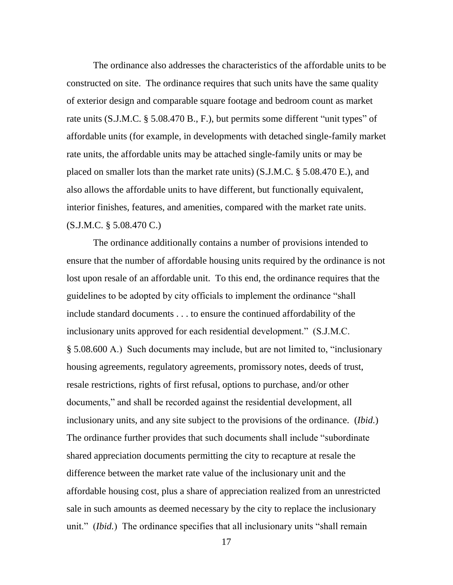The ordinance also addresses the characteristics of the affordable units to be constructed on site. The ordinance requires that such units have the same quality of exterior design and comparable square footage and bedroom count as market rate units  $(S.J.M.C. § 5.08.470 B., F.),$  but permits some different "unit types" of affordable units (for example, in developments with detached single-family market rate units, the affordable units may be attached single-family units or may be placed on smaller lots than the market rate units) (S.J.M.C. § 5.08.470 E.), and also allows the affordable units to have different, but functionally equivalent, interior finishes, features, and amenities, compared with the market rate units. (S.J.M.C. § 5.08.470 C.)

The ordinance additionally contains a number of provisions intended to ensure that the number of affordable housing units required by the ordinance is not lost upon resale of an affordable unit. To this end, the ordinance requires that the guidelines to be adopted by city officials to implement the ordinance "shall" include standard documents . . . to ensure the continued affordability of the inclusionary units approved for each residential development." (S.J.M.C. § 5.08.600 A.) Such documents may include, but are not limited to, "inclusionary housing agreements, regulatory agreements, promissory notes, deeds of trust, resale restrictions, rights of first refusal, options to purchase, and/or other documents," and shall be recorded against the residential development, all inclusionary units, and any site subject to the provisions of the ordinance. (*Ibid.*) The ordinance further provides that such documents shall include "subordinate" shared appreciation documents permitting the city to recapture at resale the difference between the market rate value of the inclusionary unit and the affordable housing cost, plus a share of appreciation realized from an unrestricted sale in such amounts as deemed necessary by the city to replace the inclusionary unit." *(Ibid.)* The ordinance specifies that all inclusionary units "shall remain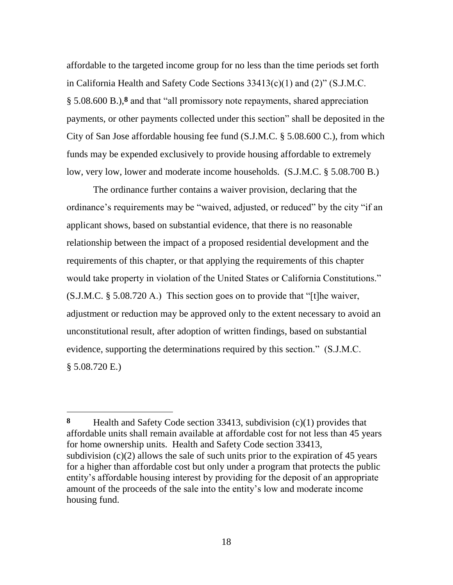affordable to the targeted income group for no less than the time periods set forth in California Health and Safety Code Sections  $33413(c)(1)$  and  $(2)$ " (S.J.M.C. § 5.08.600 B.),<sup>8</sup> and that "all promissory note repayments, shared appreciation payments, or other payments collected under this section" shall be deposited in the City of San Jose affordable housing fee fund (S.J.M.C. § 5.08.600 C.), from which funds may be expended exclusively to provide housing affordable to extremely low, very low, lower and moderate income households. (S.J.M.C. § 5.08.700 B.)

The ordinance further contains a waiver provision, declaring that the ordinance's requirements may be "waived, adjusted, or reduced" by the city "if an applicant shows, based on substantial evidence, that there is no reasonable relationship between the impact of a proposed residential development and the requirements of this chapter, or that applying the requirements of this chapter would take property in violation of the United States or California Constitutions."  $(S.J.M.C. § 5.08.720 A.)$  This section goes on to provide that "[t]he waiver, adjustment or reduction may be approved only to the extent necessary to avoid an unconstitutional result, after adoption of written findings, based on substantial evidence, supporting the determinations required by this section." (S.J.M.C. § 5.08.720 E.)

 $\overline{a}$ 

**<sup>8</sup>** Health and Safety Code section 33413, subdivision (c)(1) provides that affordable units shall remain available at affordable cost for not less than 45 years for home ownership units. Health and Safety Code section 33413, subdivision  $(c)(2)$  allows the sale of such units prior to the expiration of 45 years for a higher than affordable cost but only under a program that protects the public entity's affordable housing interest by providing for the deposit of an appropriate amount of the proceeds of the sale into the entity's low and moderate income housing fund.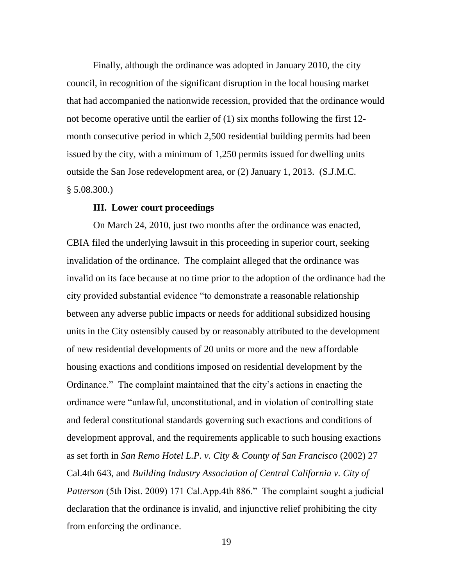Finally, although the ordinance was adopted in January 2010, the city council, in recognition of the significant disruption in the local housing market that had accompanied the nationwide recession, provided that the ordinance would not become operative until the earlier of (1) six months following the first 12 month consecutive period in which 2,500 residential building permits had been issued by the city, with a minimum of 1,250 permits issued for dwelling units outside the San Jose redevelopment area, or (2) January 1, 2013. (S.J.M.C. § 5.08.300.)

## **III. Lower court proceedings**

On March 24, 2010, just two months after the ordinance was enacted, CBIA filed the underlying lawsuit in this proceeding in superior court, seeking invalidation of the ordinance. The complaint alleged that the ordinance was invalid on its face because at no time prior to the adoption of the ordinance had the city provided substantial evidence "to demonstrate a reasonable relationship between any adverse public impacts or needs for additional subsidized housing units in the City ostensibly caused by or reasonably attributed to the development of new residential developments of 20 units or more and the new affordable housing exactions and conditions imposed on residential development by the Ordinance." The complaint maintained that the city's actions in enacting the ordinance were "unlawful, unconstitutional, and in violation of controlling state and federal constitutional standards governing such exactions and conditions of development approval, and the requirements applicable to such housing exactions as set forth in *San Remo Hotel L.P. v. City & County of San Francisco* (2002) 27 Cal.4th 643, and *Building Industry Association of Central California v. City of Patterson* (5th Dist. 2009) 171 Cal.App.4th 886." The complaint sought a judicial declaration that the ordinance is invalid, and injunctive relief prohibiting the city from enforcing the ordinance.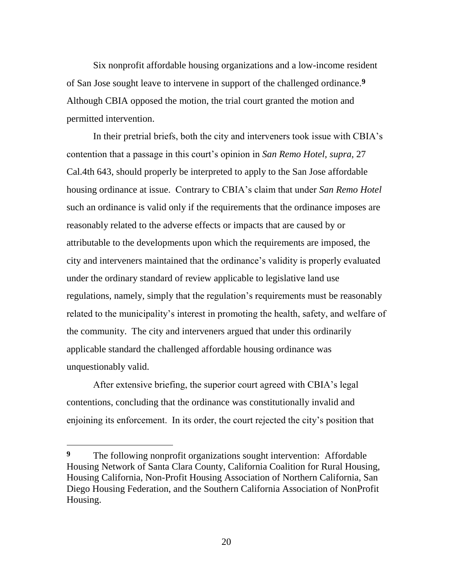Six nonprofit affordable housing organizations and a low-income resident of San Jose sought leave to intervene in support of the challenged ordinance. **9** Although CBIA opposed the motion, the trial court granted the motion and permitted intervention.

In their pretrial briefs, both the city and interveners took issue with CBIA's contention that a passage in this court's opinion in *San Remo Hotel*, *supra*, 27 Cal.4th 643, should properly be interpreted to apply to the San Jose affordable housing ordinance at issue. Contrary to CBIA's claim that under *San Remo Hotel* such an ordinance is valid only if the requirements that the ordinance imposes are reasonably related to the adverse effects or impacts that are caused by or attributable to the developments upon which the requirements are imposed, the city and interveners maintained that the ordinance's validity is properly evaluated under the ordinary standard of review applicable to legislative land use regulations, namely, simply that the regulation's requirements must be reasonably related to the municipality's interest in promoting the health, safety, and welfare of the community. The city and interveners argued that under this ordinarily applicable standard the challenged affordable housing ordinance was unquestionably valid.

After extensive briefing, the superior court agreed with CBIA's legal contentions, concluding that the ordinance was constitutionally invalid and enjoining its enforcement. In its order, the court rejected the city's position that

**<sup>9</sup>** The following nonprofit organizations sought intervention: Affordable Housing Network of Santa Clara County, California Coalition for Rural Housing, Housing California, Non-Profit Housing Association of Northern California, San Diego Housing Federation, and the Southern California Association of NonProfit Housing.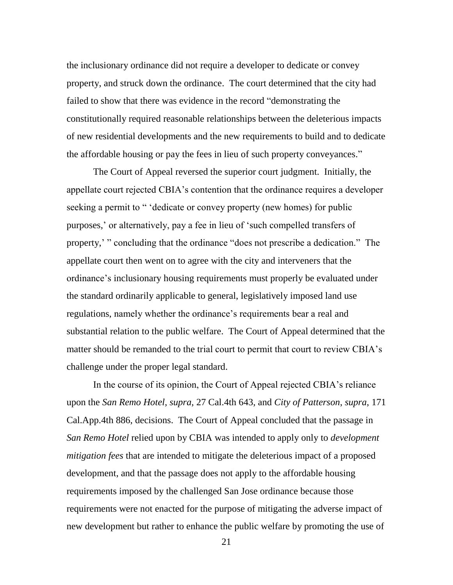the inclusionary ordinance did not require a developer to dedicate or convey property, and struck down the ordinance. The court determined that the city had failed to show that there was evidence in the record "demonstrating the constitutionally required reasonable relationships between the deleterious impacts of new residential developments and the new requirements to build and to dedicate the affordable housing or pay the fees in lieu of such property conveyances."

The Court of Appeal reversed the superior court judgment. Initially, the appellate court rejected CBIA's contention that the ordinance requires a developer seeking a permit to " 'dedicate or convey property (new homes) for public purposes,' or alternatively, pay a fee in lieu of 'such compelled transfers of property,' " concluding that the ordinance "does not prescribe a dedication." The appellate court then went on to agree with the city and interveners that the ordinance's inclusionary housing requirements must properly be evaluated under the standard ordinarily applicable to general, legislatively imposed land use regulations, namely whether the ordinance's requirements bear a real and substantial relation to the public welfare. The Court of Appeal determined that the matter should be remanded to the trial court to permit that court to review CBIA's challenge under the proper legal standard.

In the course of its opinion, the Court of Appeal rejected CBIA's reliance upon the *San Remo Hotel*, *supra*, 27 Cal.4th 643, and *City of Patterson*, *supra*, 171 Cal.App.4th 886, decisions. The Court of Appeal concluded that the passage in *San Remo Hotel* relied upon by CBIA was intended to apply only to *development mitigation fees* that are intended to mitigate the deleterious impact of a proposed development, and that the passage does not apply to the affordable housing requirements imposed by the challenged San Jose ordinance because those requirements were not enacted for the purpose of mitigating the adverse impact of new development but rather to enhance the public welfare by promoting the use of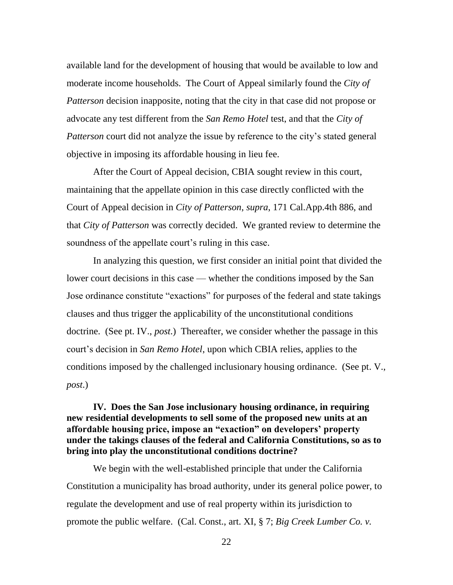available land for the development of housing that would be available to low and moderate income households. The Court of Appeal similarly found the *City of Patterson* decision inapposite, noting that the city in that case did not propose or advocate any test different from the *San Remo Hotel* test, and that the *City of Patterson* court did not analyze the issue by reference to the city's stated general objective in imposing its affordable housing in lieu fee.

After the Court of Appeal decision, CBIA sought review in this court, maintaining that the appellate opinion in this case directly conflicted with the Court of Appeal decision in *City of Patterson*, *supra*, 171 Cal.App.4th 886, and that *City of Patterson* was correctly decided. We granted review to determine the soundness of the appellate court's ruling in this case.

In analyzing this question, we first consider an initial point that divided the lower court decisions in this case — whether the conditions imposed by the San Jose ordinance constitute "exactions" for purposes of the federal and state takings clauses and thus trigger the applicability of the unconstitutional conditions doctrine. (See pt. IV., *post*.) Thereafter, we consider whether the passage in this court's decision in *San Remo Hotel*, upon which CBIA relies, applies to the conditions imposed by the challenged inclusionary housing ordinance. (See pt. V., *post*.)

**IV. Does the San Jose inclusionary housing ordinance, in requiring new residential developments to sell some of the proposed new units at an affordable housing price, impose an "exaction" on developers' property under the takings clauses of the federal and California Constitutions, so as to bring into play the unconstitutional conditions doctrine?**

We begin with the well-established principle that under the California Constitution a municipality has broad authority, under its general police power, to regulate the development and use of real property within its jurisdiction to promote the public welfare. (Cal. Const., art. XI, § 7; *Big Creek Lumber Co. v.*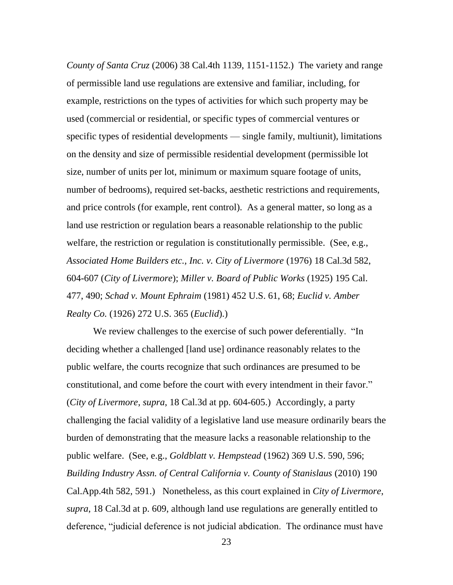*County of Santa Cruz* (2006) 38 Cal.4th 1139, 1151-1152.) The variety and range of permissible land use regulations are extensive and familiar, including, for example, restrictions on the types of activities for which such property may be used (commercial or residential, or specific types of commercial ventures or specific types of residential developments — single family, multiunit), limitations on the density and size of permissible residential development (permissible lot size, number of units per lot, minimum or maximum square footage of units, number of bedrooms), required set-backs, aesthetic restrictions and requirements, and price controls (for example, rent control). As a general matter, so long as a land use restriction or regulation bears a reasonable relationship to the public welfare, the restriction or regulation is constitutionally permissible. (See, e.g., *Associated Home Builders etc., Inc. v. City of Livermore* (1976) 18 Cal.3d 582, 604-607 (*City of Livermore*); *Miller v. Board of Public Works* (1925) 195 Cal. 477, 490; *Schad v. Mount Ephraim* (1981) 452 U.S. 61, 68; *Euclid v. Amber Realty Co.* (1926) 272 U.S. 365 (*Euclid*).)

We review challenges to the exercise of such power deferentially. "In deciding whether a challenged [land use] ordinance reasonably relates to the public welfare, the courts recognize that such ordinances are presumed to be constitutional, and come before the court with every intendment in their favor." (*City of Livermore*, *supra*, 18 Cal.3d at pp. 604-605.) Accordingly, a party challenging the facial validity of a legislative land use measure ordinarily bears the burden of demonstrating that the measure lacks a reasonable relationship to the public welfare. (See, e.g., *Goldblatt v. Hempstead* (1962) 369 U.S. 590, 596; *Building Industry Assn. of Central California v. County of Stanislaus* (2010) 190 Cal.App.4th 582, 591.) Nonetheless, as this court explained in *City of Livermore*, *supra*, 18 Cal.3d at p. 609, although land use regulations are generally entitled to deference, "judicial deference is not judicial abdication. The ordinance must have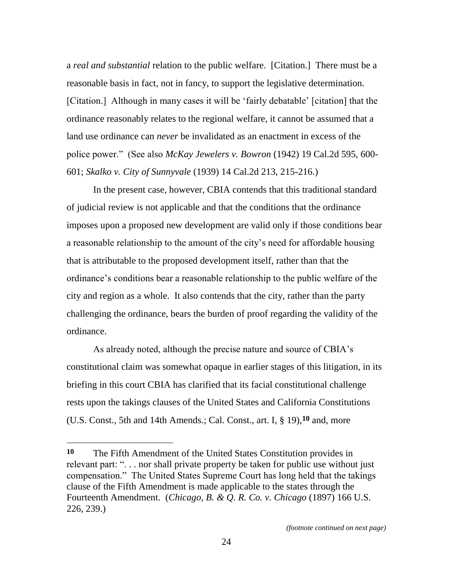a *real and substantial* relation to the public welfare. [Citation.] There must be a reasonable basis in fact, not in fancy, to support the legislative determination. [Citation.] Although in many cases it will be 'fairly debatable' [citation] that the ordinance reasonably relates to the regional welfare, it cannot be assumed that a land use ordinance can *never* be invalidated as an enactment in excess of the police power.‖ (See also *McKay Jewelers v. Bowron* (1942) 19 Cal.2d 595, 600- 601; *Skalko v. City of Sunnyvale* (1939) 14 Cal.2d 213, 215-216.)

In the present case, however, CBIA contends that this traditional standard of judicial review is not applicable and that the conditions that the ordinance imposes upon a proposed new development are valid only if those conditions bear a reasonable relationship to the amount of the city's need for affordable housing that is attributable to the proposed development itself, rather than that the ordinance's conditions bear a reasonable relationship to the public welfare of the city and region as a whole. It also contends that the city, rather than the party challenging the ordinance, bears the burden of proof regarding the validity of the ordinance.

As already noted, although the precise nature and source of CBIA's constitutional claim was somewhat opaque in earlier stages of this litigation, in its briefing in this court CBIA has clarified that its facial constitutional challenge rests upon the takings clauses of the United States and California Constitutions (U.S. Const., 5th and 14th Amends.; Cal. Const., art. I, § 19), **10** and, more

**<sup>10</sup>** The Fifth Amendment of the United States Constitution provides in relevant part: "... nor shall private property be taken for public use without just compensation.‖ The United States Supreme Court has long held that the takings clause of the Fifth Amendment is made applicable to the states through the Fourteenth Amendment. (*Chicago, B. & Q. R. Co. v. Chicago* (1897) 166 U.S. 226, 239.)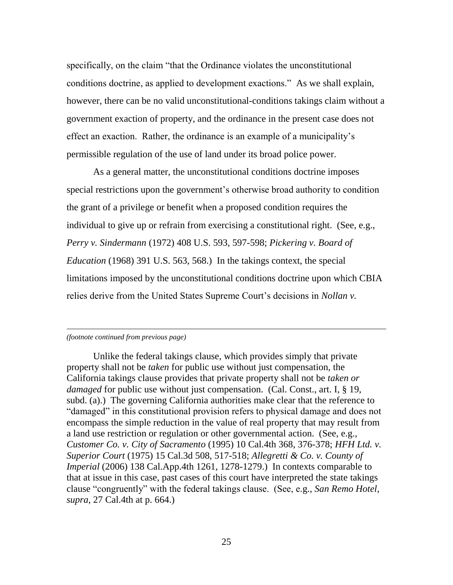specifically, on the claim "that the Ordinance violates the unconstitutional conditions doctrine, as applied to development exactions." As we shall explain, however, there can be no valid unconstitutional-conditions takings claim without a government exaction of property, and the ordinance in the present case does not effect an exaction. Rather, the ordinance is an example of a municipality's permissible regulation of the use of land under its broad police power.

As a general matter, the unconstitutional conditions doctrine imposes special restrictions upon the government's otherwise broad authority to condition the grant of a privilege or benefit when a proposed condition requires the individual to give up or refrain from exercising a constitutional right. (See, e.g., *Perry v. Sindermann* (1972) 408 U.S. 593, 597-598; *Pickering v. Board of Education* (1968) 391 U.S. 563, 568.) In the takings context, the special limitations imposed by the unconstitutional conditions doctrine upon which CBIA relies derive from the United States Supreme Court's decisions in *Nollan v.* 

#### *(footnote continued from previous page)*

l

Unlike the federal takings clause, which provides simply that private property shall not be *taken* for public use without just compensation, the California takings clause provides that private property shall not be *taken or damaged* for public use without just compensation. (Cal. Const., art. I, § 19, subd. (a).) The governing California authorities make clear that the reference to "damaged" in this constitutional provision refers to physical damage and does not encompass the simple reduction in the value of real property that may result from a land use restriction or regulation or other governmental action. (See, e.g., *Customer Co. v. City of Sacramento* (1995) 10 Cal.4th 368, 376-378; *HFH Ltd. v. Superior Court* (1975) 15 Cal.3d 508, 517-518; *Allegretti & Co. v. County of Imperial* (2006) 138 Cal.App.4th 1261, 1278-1279.) In contexts comparable to that at issue in this case, past cases of this court have interpreted the state takings clause "congruently" with the federal takings clause. (See, e.g., *San Remo Hotel*, *supra*, 27 Cal.4th at p. 664.)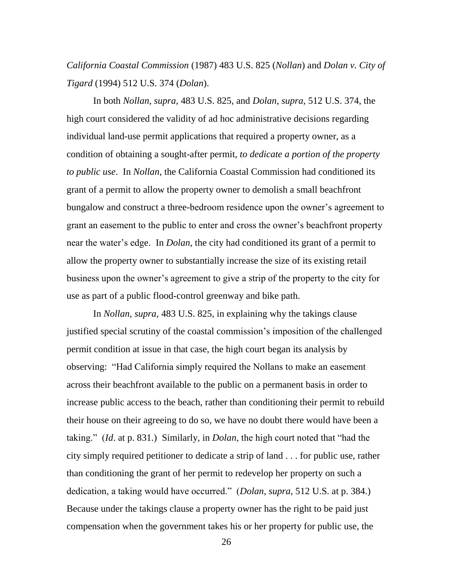*California Coastal Commission* (1987) 483 U.S. 825 (*Nollan*) and *Dolan v. City of Tigard* (1994) 512 U.S. 374 (*Dolan*).

In both *Nollan*, *supra*, 483 U.S. 825, and *Dolan*, *supra*, 512 U.S. 374, the high court considered the validity of ad hoc administrative decisions regarding individual land-use permit applications that required a property owner, as a condition of obtaining a sought-after permit, *to dedicate a portion of the property to public use*. In *Nollan*, the California Coastal Commission had conditioned its grant of a permit to allow the property owner to demolish a small beachfront bungalow and construct a three-bedroom residence upon the owner's agreement to grant an easement to the public to enter and cross the owner's beachfront property near the water's edge. In *Dolan*, the city had conditioned its grant of a permit to allow the property owner to substantially increase the size of its existing retail business upon the owner's agreement to give a strip of the property to the city for use as part of a public flood-control greenway and bike path.

In *Nollan*, *supra*, 483 U.S. 825, in explaining why the takings clause justified special scrutiny of the coastal commission's imposition of the challenged permit condition at issue in that case, the high court began its analysis by observing: "Had California simply required the Nollans to make an easement across their beachfront available to the public on a permanent basis in order to increase public access to the beach, rather than conditioning their permit to rebuild their house on their agreeing to do so, we have no doubt there would have been a taking." *(Id.* at p. 831.) Similarly, in *Dolan*, the high court noted that "had the city simply required petitioner to dedicate a strip of land . . . for public use, rather than conditioning the grant of her permit to redevelop her property on such a dedication, a taking would have occurred.‖ (*Dolan*, *supra*, 512 U.S. at p. 384.) Because under the takings clause a property owner has the right to be paid just compensation when the government takes his or her property for public use, the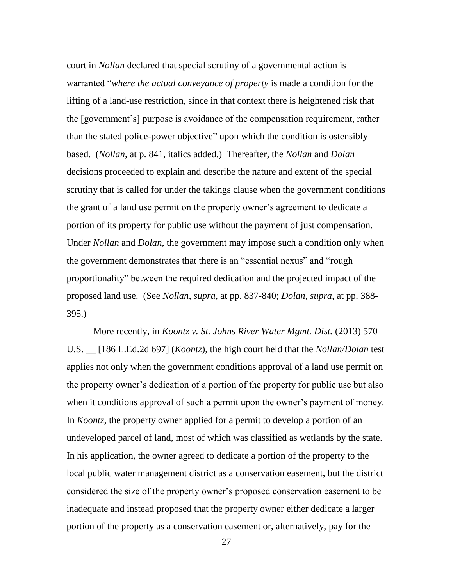court in *Nollan* declared that special scrutiny of a governmental action is warranted "where the actual conveyance of property is made a condition for the lifting of a land-use restriction, since in that context there is heightened risk that the [government's] purpose is avoidance of the compensation requirement, rather than the stated police-power objective" upon which the condition is ostensibly based. (*Nollan*, at p. 841, italics added.) Thereafter, the *Nollan* and *Dolan*  decisions proceeded to explain and describe the nature and extent of the special scrutiny that is called for under the takings clause when the government conditions the grant of a land use permit on the property owner's agreement to dedicate a portion of its property for public use without the payment of just compensation. Under *Nollan* and *Dolan*, the government may impose such a condition only when the government demonstrates that there is an "essential nexus" and "rough proportionality" between the required dedication and the projected impact of the proposed land use. (See *Nollan*, *supra*, at pp. 837-840; *Dolan*, *supra*, at pp. 388- 395.)

More recently, in *Koontz v. St. Johns River Water Mgmt. Dist.* (2013) 570 U.S. \_\_ [186 L.Ed.2d 697] (*Koontz*), the high court held that the *Nollan/Dolan* test applies not only when the government conditions approval of a land use permit on the property owner's dedication of a portion of the property for public use but also when it conditions approval of such a permit upon the owner's payment of money. In *Koontz*, the property owner applied for a permit to develop a portion of an undeveloped parcel of land, most of which was classified as wetlands by the state. In his application, the owner agreed to dedicate a portion of the property to the local public water management district as a conservation easement, but the district considered the size of the property owner's proposed conservation easement to be inadequate and instead proposed that the property owner either dedicate a larger portion of the property as a conservation easement or, alternatively, pay for the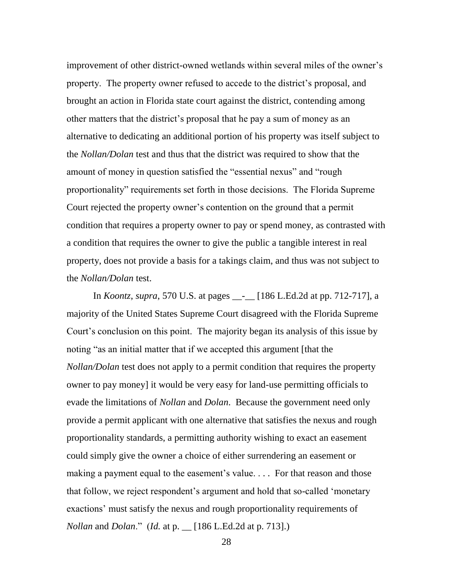improvement of other district-owned wetlands within several miles of the owner's property. The property owner refused to accede to the district's proposal, and brought an action in Florida state court against the district, contending among other matters that the district's proposal that he pay a sum of money as an alternative to dedicating an additional portion of his property was itself subject to the *Nollan/Dolan* test and thus that the district was required to show that the amount of money in question satisfied the "essential nexus" and "rough proportionality‖ requirements set forth in those decisions. The Florida Supreme Court rejected the property owner's contention on the ground that a permit condition that requires a property owner to pay or spend money, as contrasted with a condition that requires the owner to give the public a tangible interest in real property, does not provide a basis for a takings claim, and thus was not subject to the *Nollan/Dolan* test.

In *Koontz*, *supra*, 570 U.S. at pages \_\_-\_\_ [186 L.Ed.2d at pp. 712-717], a majority of the United States Supreme Court disagreed with the Florida Supreme Court's conclusion on this point. The majority began its analysis of this issue by noting "as an initial matter that if we accepted this argument [that the *Nollan/Dolan* test does not apply to a permit condition that requires the property owner to pay money] it would be very easy for land-use permitting officials to evade the limitations of *Nollan* and *Dolan*. Because the government need only provide a permit applicant with one alternative that satisfies the nexus and rough proportionality standards, a permitting authority wishing to exact an easement could simply give the owner a choice of either surrendering an easement or making a payment equal to the easement's value. . . . For that reason and those that follow, we reject respondent's argument and hold that so-called 'monetary exactions' must satisfy the nexus and rough proportionality requirements of *Nollan* and *Dolan*.‖ (*Id.* at p. \_\_ [186 L.Ed.2d at p. 713].)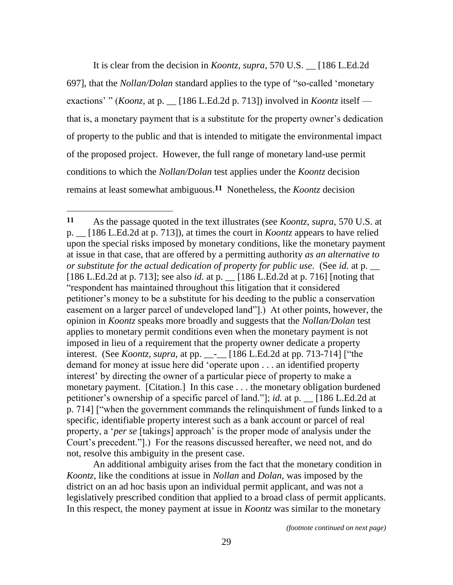It is clear from the decision in *Koontz, supra*, 570 U.S. \_\_ [186 L.Ed.2d 697], that the *Nollan/Dolan* standard applies to the type of "so-called 'monetary exactions' " (*Koonz*, at p.  $\Box$  [186 L.Ed.2d p. 713]) involved in *Koontz* itself that is, a monetary payment that is a substitute for the property owner's dedication of property to the public and that is intended to mitigate the environmental impact of the proposed project. However, the full range of monetary land-use permit conditions to which the *Nollan/Dolan* test applies under the *Koontz* decision remains at least somewhat ambiguous.**11** Nonetheless, the *Koontz* decision

An additional ambiguity arises from the fact that the monetary condition in *Koontz*, like the conditions at issue in *Nollan* and *Dolan*, was imposed by the district on an ad hoc basis upon an individual permit applicant, and was not a legislatively prescribed condition that applied to a broad class of permit applicants. In this respect, the money payment at issue in *Koontz* was similar to the monetary

*(footnote continued on next page)*

**<sup>11</sup>** As the passage quoted in the text illustrates (see *Koontz, supra*, 570 U.S. at p. \_\_ [186 L.Ed.2d at p. 713]), at times the court in *Koontz* appears to have relied upon the special risks imposed by monetary conditions, like the monetary payment at issue in that case, that are offered by a permitting authority *as an alternative to or substitute for the actual dedication of property for public use*. (See *id.* at p. \_\_ [186 L.Ed.2d at p. 713]; see also *id.* at p. \_\_ [186 L.Ed.2d at p. 716] [noting that ―respondent has maintained throughout this litigation that it considered petitioner's money to be a substitute for his deeding to the public a conservation easement on a larger parcel of undeveloped land"...) At other points, however, the opinion in *Koontz* speaks more broadly and suggests that the *Nollan/Dolan* test applies to monetary permit conditions even when the monetary payment is not imposed in lieu of a requirement that the property owner dedicate a property interest. (See *Koontz, supra,* at pp. \_\_-\_ [186 L.Ed.2d at pp. 713-714] ["the demand for money at issue here did 'operate upon . . . an identified property interest' by directing the owner of a particular piece of property to make a monetary payment. [Citation.] In this case . . . the monetary obligation burdened petitioner's ownership of a specific parcel of land.‖]; *id.* at p. \_\_ [186 L.Ed.2d at p. 714] ["when the government commands the relinquishment of funds linked to a specific, identifiable property interest such as a bank account or parcel of real property, a ‗*per se* [takings] approach' is the proper mode of analysis under the Court's precedent.‖].) For the reasons discussed hereafter, we need not, and do not, resolve this ambiguity in the present case.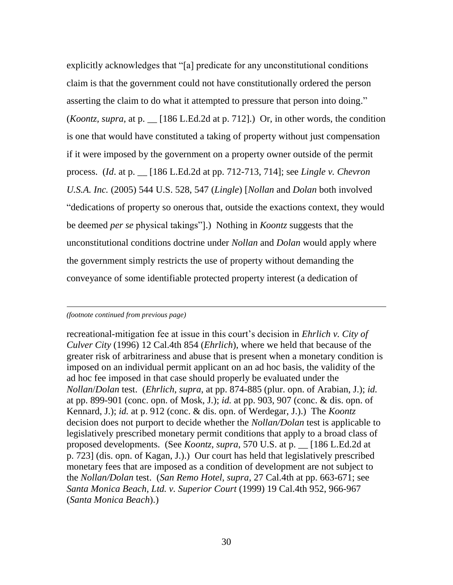explicitly acknowledges that "[a] predicate for any unconstitutional conditions claim is that the government could not have constitutionally ordered the person asserting the claim to do what it attempted to pressure that person into doing." (*Koontz, supra,* at p. \_\_ [186 L.Ed.2d at p. 712].) Or, in other words, the condition is one that would have constituted a taking of property without just compensation if it were imposed by the government on a property owner outside of the permit process. (*Id*. at p. \_\_ [186 L.Ed.2d at pp. 712-713, 714]; see *Lingle v. Chevron U.S.A. Inc.* (2005) 544 U.S. 528, 547 (*Lingle*) [*Nollan* and *Dolan* both involved ―dedications of property so onerous that, outside the exactions context, they would be deemed *per se* physical takings‖].) Nothing in *Koontz* suggests that the unconstitutional conditions doctrine under *Nollan* and *Dolan* would apply where the government simply restricts the use of property without demanding the conveyance of some identifiable protected property interest (a dedication of

### *(footnote continued from previous page)*

 $\overline{a}$ 

recreational-mitigation fee at issue in this court's decision in *Ehrlich v. City of Culver City* (1996) 12 Cal.4th 854 (*Ehrlich*), where we held that because of the greater risk of arbitrariness and abuse that is present when a monetary condition is imposed on an individual permit applicant on an ad hoc basis, the validity of the ad hoc fee imposed in that case should properly be evaluated under the *Nollan*/*Dolan* test. (*Ehrlich*, *supra*, at pp. 874-885 (plur. opn. of Arabian, J.); *id.* at pp. 899-901 (conc. opn. of Mosk, J.); *id.* at pp. 903, 907 (conc. & dis. opn. of Kennard, J.); *id.* at p. 912 (conc. & dis. opn. of Werdegar, J.).) The *Koontz* decision does not purport to decide whether the *Nollan/Dolan* test is applicable to legislatively prescribed monetary permit conditions that apply to a broad class of proposed developments. (See *Koontz, supra*, 570 U.S. at p. \_\_ [186 L.Ed.2d at p. 723] (dis. opn. of Kagan, J.).) Our court has held that legislatively prescribed monetary fees that are imposed as a condition of development are not subject to the *Nollan/Dolan* test. (*San Remo Hotel, supra*, 27 Cal.4th at pp. 663-671; see *Santa Monica Beach, Ltd. v. Superior Court* (1999) 19 Cal.4th 952, 966-967 (*Santa Monica Beach*).)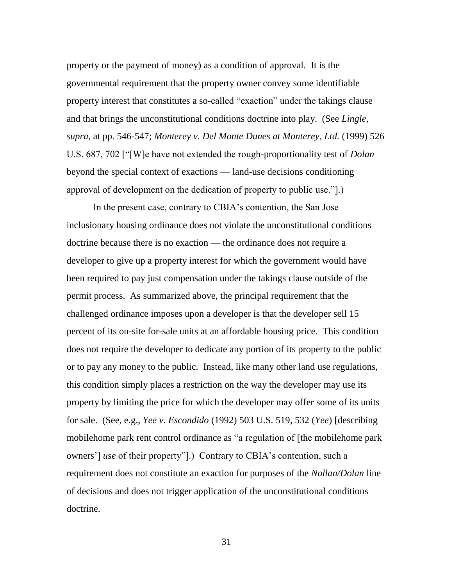property or the payment of money) as a condition of approval. It is the governmental requirement that the property owner convey some identifiable property interest that constitutes a so-called "exaction" under the takings clause and that brings the unconstitutional conditions doctrine into play. (See *Lingle*, *supra*, at pp. 546-547; *Monterey v. Del Monte Dunes at Monterey, Ltd.* (1999) 526 U.S. 687, 702 ["[W]e have not extended the rough-proportionality test of *Dolan* beyond the special context of exactions — land-use decisions conditioning approval of development on the dedication of property to public use."...

In the present case, contrary to CBIA's contention, the San Jose inclusionary housing ordinance does not violate the unconstitutional conditions doctrine because there is no exaction — the ordinance does not require a developer to give up a property interest for which the government would have been required to pay just compensation under the takings clause outside of the permit process. As summarized above, the principal requirement that the challenged ordinance imposes upon a developer is that the developer sell 15 percent of its on-site for-sale units at an affordable housing price. This condition does not require the developer to dedicate any portion of its property to the public or to pay any money to the public. Instead, like many other land use regulations, this condition simply places a restriction on the way the developer may use its property by limiting the price for which the developer may offer some of its units for sale. (See, e.g., *Yee v. Escondido* (1992) 503 U.S. 519, 532 (*Yee*) [describing mobilehome park rent control ordinance as "a regulation of [the mobilehome park owners'] *use* of their property''... Contrary to CBIA's contention, such a requirement does not constitute an exaction for purposes of the *Nollan/Dolan* line of decisions and does not trigger application of the unconstitutional conditions doctrine.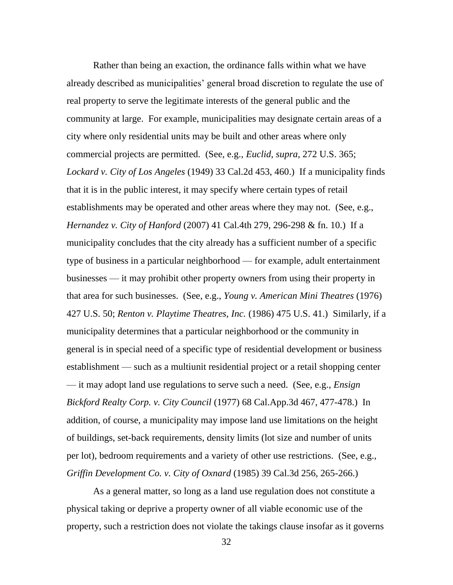Rather than being an exaction, the ordinance falls within what we have already described as municipalities' general broad discretion to regulate the use of real property to serve the legitimate interests of the general public and the community at large. For example, municipalities may designate certain areas of a city where only residential units may be built and other areas where only commercial projects are permitted. (See, e.g., *Euclid*, *supra*, 272 U.S. 365; *Lockard v. City of Los Angeles* (1949) 33 Cal.2d 453, 460.) If a municipality finds that it is in the public interest, it may specify where certain types of retail establishments may be operated and other areas where they may not. (See, e.g., *Hernandez v. City of Hanford* (2007) 41 Cal.4th 279, 296-298 & fn. 10.) If a municipality concludes that the city already has a sufficient number of a specific type of business in a particular neighborhood — for example, adult entertainment businesses — it may prohibit other property owners from using their property in that area for such businesses. (See, e.g., *Young v. American Mini Theatres* (1976) 427 U.S. 50; *Renton v. Playtime Theatres, Inc.* (1986) 475 U.S. 41.) Similarly, if a municipality determines that a particular neighborhood or the community in general is in special need of a specific type of residential development or business establishment — such as a multiunit residential project or a retail shopping center — it may adopt land use regulations to serve such a need. (See, e.g., *Ensign Bickford Realty Corp. v. City Council* (1977) 68 Cal.App.3d 467, 477-478.) In addition, of course, a municipality may impose land use limitations on the height of buildings, set-back requirements, density limits (lot size and number of units per lot), bedroom requirements and a variety of other use restrictions. (See, e.g., *Griffin Development Co. v. City of Oxnard* (1985) 39 Cal.3d 256, 265-266.)

As a general matter, so long as a land use regulation does not constitute a physical taking or deprive a property owner of all viable economic use of the property, such a restriction does not violate the takings clause insofar as it governs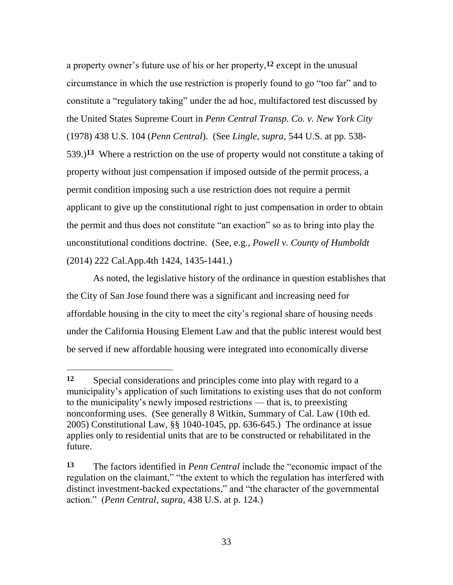a property owner's future use of his or her property,**12** except in the unusual circumstance in which the use restriction is properly found to go "too far" and to constitute a "regulatory taking" under the ad hoc, multifactored test discussed by the United States Supreme Court in *Penn Central Transp. Co. v. New York City* (1978) 438 U.S. 104 (*Penn Central*). (See *Lingle*, *supra*, 544 U.S. at pp. 538- 539.)**13** Where a restriction on the use of property would not constitute a taking of property without just compensation if imposed outside of the permit process, a permit condition imposing such a use restriction does not require a permit applicant to give up the constitutional right to just compensation in order to obtain the permit and thus does not constitute "an exaction" so as to bring into play the unconstitutional conditions doctrine. (See, e.g., *Powell v. County of Humboldt* (2014) 222 Cal.App.4th 1424, 1435-1441.)

As noted, the legislative history of the ordinance in question establishes that the City of San Jose found there was a significant and increasing need for affordable housing in the city to meet the city's regional share of housing needs under the California Housing Element Law and that the public interest would best be served if new affordable housing were integrated into economically diverse

 $\overline{a}$ 

**<sup>12</sup>** Special considerations and principles come into play with regard to a municipality's application of such limitations to existing uses that do not conform to the municipality's newly imposed restrictions — that is, to preexisting nonconforming uses. (See generally 8 Witkin, Summary of Cal. Law (10th ed. 2005) Constitutional Law, §§ 1040-1045, pp. 636-645.) The ordinance at issue applies only to residential units that are to be constructed or rehabilitated in the future.

<sup>13</sup> The factors identified in *Penn Central* include the "economic impact of the regulation on the claimant," "the extent to which the regulation has interfered with distinct investment-backed expectations," and "the character of the governmental action.‖ (*Penn Central*, *supra*, 438 U.S. at p. 124.)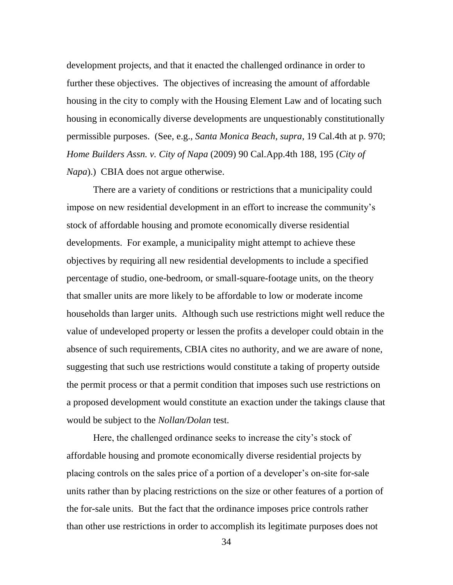development projects, and that it enacted the challenged ordinance in order to further these objectives. The objectives of increasing the amount of affordable housing in the city to comply with the Housing Element Law and of locating such housing in economically diverse developments are unquestionably constitutionally permissible purposes. (See, e.g., *Santa Monica Beach, supra*, 19 Cal.4th at p. 970; *Home Builders Assn. v. City of Napa* (2009) 90 Cal.App.4th 188, 195 (*City of Napa*).) CBIA does not argue otherwise.

There are a variety of conditions or restrictions that a municipality could impose on new residential development in an effort to increase the community's stock of affordable housing and promote economically diverse residential developments. For example, a municipality might attempt to achieve these objectives by requiring all new residential developments to include a specified percentage of studio, one-bedroom, or small-square-footage units, on the theory that smaller units are more likely to be affordable to low or moderate income households than larger units. Although such use restrictions might well reduce the value of undeveloped property or lessen the profits a developer could obtain in the absence of such requirements, CBIA cites no authority, and we are aware of none, suggesting that such use restrictions would constitute a taking of property outside the permit process or that a permit condition that imposes such use restrictions on a proposed development would constitute an exaction under the takings clause that would be subject to the *Nollan/Dolan* test.

Here, the challenged ordinance seeks to increase the city's stock of affordable housing and promote economically diverse residential projects by placing controls on the sales price of a portion of a developer's on-site for-sale units rather than by placing restrictions on the size or other features of a portion of the for-sale units. But the fact that the ordinance imposes price controls rather than other use restrictions in order to accomplish its legitimate purposes does not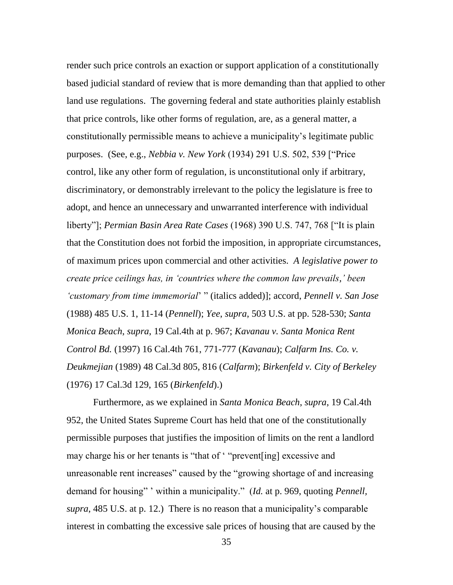render such price controls an exaction or support application of a constitutionally based judicial standard of review that is more demanding than that applied to other land use regulations. The governing federal and state authorities plainly establish that price controls, like other forms of regulation, are, as a general matter, a constitutionally permissible means to achieve a municipality's legitimate public purposes. (See, e.g., *Nebbia v. New York* (1934) 291 U.S. 502, 539 ["Price" control, like any other form of regulation, is unconstitutional only if arbitrary, discriminatory, or demonstrably irrelevant to the policy the legislature is free to adopt, and hence an unnecessary and unwarranted interference with individual liberty"]; *Permian Basin Area Rate Cases* (1968) 390 U.S. 747, 768 ["It is plain that the Constitution does not forbid the imposition, in appropriate circumstances, of maximum prices upon commercial and other activities. *A legislative power to create price ceilings has, in 'countries where the common law prevails,' been 'customary from time immemorial*' ‖ (italics added)]; accord, *Pennell v. San Jose* (1988) 485 U.S. 1, 11-14 (*Pennell*); *Yee*, *supra*, 503 U.S. at pp. 528-530; *Santa Monica Beach*, *supra*, 19 Cal.4th at p. 967; *Kavanau v. Santa Monica Rent Control Bd.* (1997) 16 Cal.4th 761, 771-777 (*Kavanau*); *Calfarm Ins. Co. v. Deukmejian* (1989) 48 Cal.3d 805, 816 (*Calfarm*); *Birkenfeld v. City of Berkeley*  (1976) 17 Cal.3d 129, 165 (*Birkenfeld*).)

Furthermore, as we explained in *Santa Monica Beach*, *supra*, 19 Cal.4th 952, the United States Supreme Court has held that one of the constitutionally permissible purposes that justifies the imposition of limits on the rent a landlord may charge his or her tenants is "that of ' "prevent[ing] excessive and unreasonable rent increases" caused by the "growing shortage of and increasing demand for housing" ' within a municipality." (*Id.* at p. 969, quoting *Pennell*, *supra*, 485 U.S. at p. 12.) There is no reason that a municipality's comparable interest in combatting the excessive sale prices of housing that are caused by the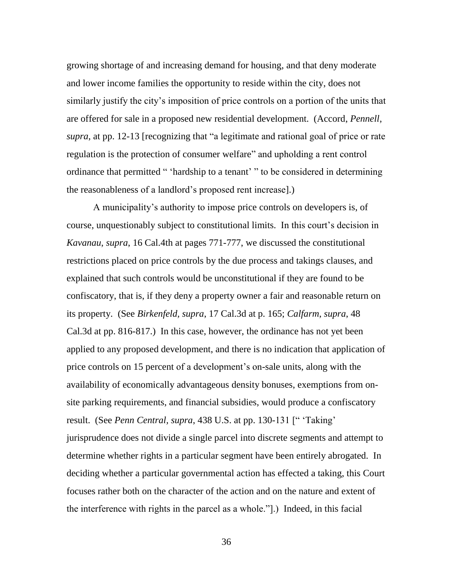growing shortage of and increasing demand for housing, and that deny moderate and lower income families the opportunity to reside within the city, does not similarly justify the city's imposition of price controls on a portion of the units that are offered for sale in a proposed new residential development. (Accord, *Pennell*, *supra*, at pp. 12-13 [recognizing that "a legitimate and rational goal of price or rate regulation is the protection of consumer welfare" and upholding a rent control ordinance that permitted " 'hardship to a tenant' " to be considered in determining the reasonableness of a landlord's proposed rent increase].)

A municipality's authority to impose price controls on developers is, of course, unquestionably subject to constitutional limits. In this court's decision in *Kavanau*, *supra*, 16 Cal.4th at pages 771-777, we discussed the constitutional restrictions placed on price controls by the due process and takings clauses, and explained that such controls would be unconstitutional if they are found to be confiscatory, that is, if they deny a property owner a fair and reasonable return on its property. (See *Birkenfeld, supra*, 17 Cal.3d at p. 165; *Calfarm*, *supra*, 48 Cal.3d at pp. 816-817.) In this case, however, the ordinance has not yet been applied to any proposed development, and there is no indication that application of price controls on 15 percent of a development's on-sale units, along with the availability of economically advantageous density bonuses, exemptions from onsite parking requirements, and financial subsidies, would produce a confiscatory result. (See *Penn Central, supra,* 438 U.S. at pp. 130-131 [" 'Taking' jurisprudence does not divide a single parcel into discrete segments and attempt to determine whether rights in a particular segment have been entirely abrogated. In deciding whether a particular governmental action has effected a taking, this Court focuses rather both on the character of the action and on the nature and extent of the interference with rights in the parcel as a whole."].) Indeed, in this facial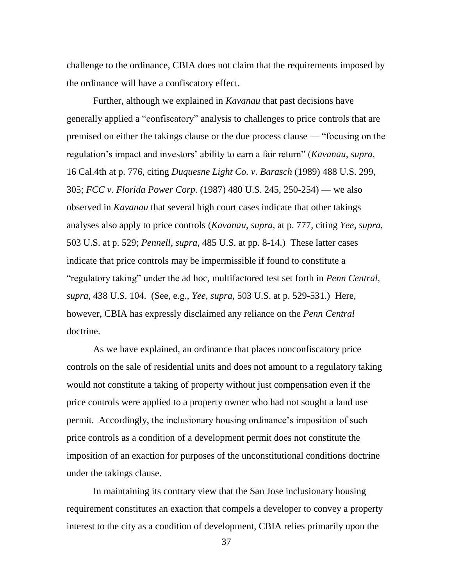challenge to the ordinance, CBIA does not claim that the requirements imposed by the ordinance will have a confiscatory effect.

Further, although we explained in *Kavanau* that past decisions have generally applied a "confiscatory" analysis to challenges to price controls that are premised on either the takings clause or the due process clause — "focusing on the regulation's impact and investors' ability to earn a fair return" (*Kavanau*, *supra*, 16 Cal.4th at p. 776, citing *Duquesne Light Co. v. Barasch* (1989) 488 U.S. 299, 305; *FCC v. Florida Power Corp.* (1987) 480 U.S. 245, 250-254) — we also observed in *Kavanau* that several high court cases indicate that other takings analyses also apply to price controls (*Kavanau*, *supra*, at p. 777, citing *Yee*, *supra*, 503 U.S. at p. 529; *Pennell*, *supra*, 485 U.S. at pp. 8-14.) These latter cases indicate that price controls may be impermissible if found to constitute a ―regulatory taking‖ under the ad hoc, multifactored test set forth in *Penn Central*, *supra*, 438 U.S. 104. (See, e.g., *Yee*, *supra*, 503 U.S. at p. 529-531.) Here, however, CBIA has expressly disclaimed any reliance on the *Penn Central*  doctrine.

As we have explained, an ordinance that places nonconfiscatory price controls on the sale of residential units and does not amount to a regulatory taking would not constitute a taking of property without just compensation even if the price controls were applied to a property owner who had not sought a land use permit. Accordingly, the inclusionary housing ordinance's imposition of such price controls as a condition of a development permit does not constitute the imposition of an exaction for purposes of the unconstitutional conditions doctrine under the takings clause.

In maintaining its contrary view that the San Jose inclusionary housing requirement constitutes an exaction that compels a developer to convey a property interest to the city as a condition of development, CBIA relies primarily upon the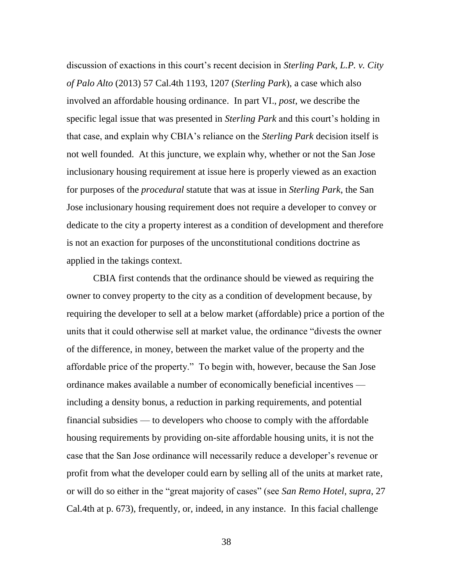discussion of exactions in this court's recent decision in *Sterling Park, L.P. v. City of Palo Alto* (2013) 57 Cal.4th 1193, 1207 (*Sterling Park*), a case which also involved an affordable housing ordinance. In part VI., *post*, we describe the specific legal issue that was presented in *Sterling Park* and this court's holding in that case, and explain why CBIA's reliance on the *Sterling Park* decision itself is not well founded. At this juncture, we explain why, whether or not the San Jose inclusionary housing requirement at issue here is properly viewed as an exaction for purposes of the *procedural* statute that was at issue in *Sterling Park*, the San Jose inclusionary housing requirement does not require a developer to convey or dedicate to the city a property interest as a condition of development and therefore is not an exaction for purposes of the unconstitutional conditions doctrine as applied in the takings context.

CBIA first contends that the ordinance should be viewed as requiring the owner to convey property to the city as a condition of development because, by requiring the developer to sell at a below market (affordable) price a portion of the units that it could otherwise sell at market value, the ordinance "divests the owner of the difference, in money, between the market value of the property and the affordable price of the property.‖ To begin with, however, because the San Jose ordinance makes available a number of economically beneficial incentives including a density bonus, a reduction in parking requirements, and potential financial subsidies — to developers who choose to comply with the affordable housing requirements by providing on-site affordable housing units, it is not the case that the San Jose ordinance will necessarily reduce a developer's revenue or profit from what the developer could earn by selling all of the units at market rate, or will do so either in the "great majority of cases" (see *San Remo Hotel*, *supra*, 27 Cal.4th at p. 673), frequently, or, indeed, in any instance. In this facial challenge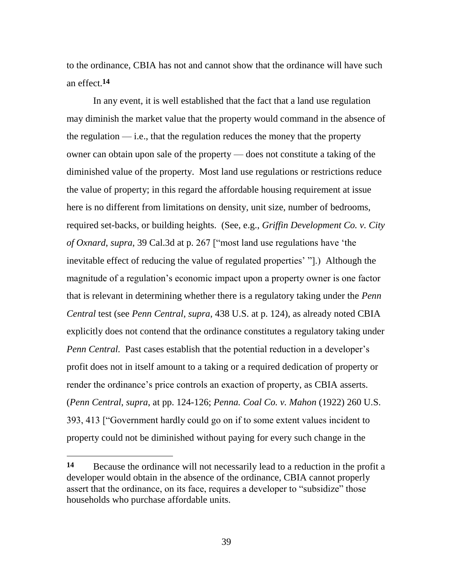to the ordinance, CBIA has not and cannot show that the ordinance will have such an effect.**14**

In any event, it is well established that the fact that a land use regulation may diminish the market value that the property would command in the absence of the regulation  $\frac{d}{dx}$  i.e., that the regulation reduces the money that the property owner can obtain upon sale of the property — does not constitute a taking of the diminished value of the property. Most land use regulations or restrictions reduce the value of property; in this regard the affordable housing requirement at issue here is no different from limitations on density, unit size, number of bedrooms, required set-backs, or building heights. (See, e.g., *Griffin Development Co. v. City of Oxnard, supra,* 39 Cal.3d at p. 267 ["most land use regulations have 'the inevitable effect of reducing the value of regulated properties' "...) Although the magnitude of a regulation's economic impact upon a property owner is one factor that is relevant in determining whether there is a regulatory taking under the *Penn Central* test (see *Penn Central*, *supra*, 438 U.S. at p. 124), as already noted CBIA explicitly does not contend that the ordinance constitutes a regulatory taking under *Penn Central.* Past cases establish that the potential reduction in a developer's profit does not in itself amount to a taking or a required dedication of property or render the ordinance's price controls an exaction of property, as CBIA asserts. (*Penn Central*, *supra*, at pp. 124-126; *Penna. Coal Co. v. Mahon* (1922) 260 U.S. 393, 413 ["Government hardly could go on if to some extent values incident to property could not be diminished without paying for every such change in the

**<sup>14</sup>** Because the ordinance will not necessarily lead to a reduction in the profit a developer would obtain in the absence of the ordinance, CBIA cannot properly assert that the ordinance, on its face, requires a developer to "subsidize" those households who purchase affordable units.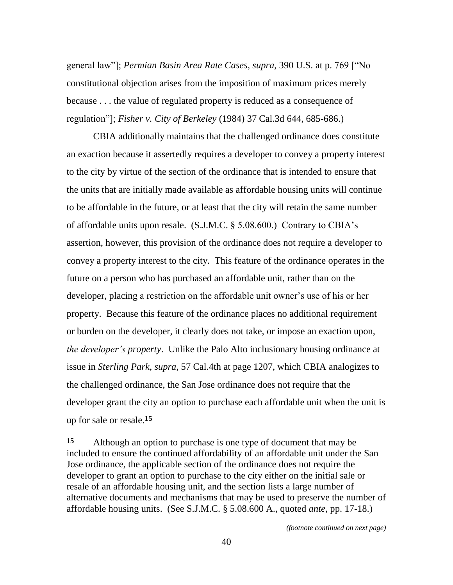general law"]; *Permian Basin Area Rate Cases, supra,* 390 U.S. at p. 769 ["No constitutional objection arises from the imposition of maximum prices merely because . . . the value of regulated property is reduced as a consequence of regulation‖]; *Fisher v. City of Berkeley* (1984) 37 Cal.3d 644, 685-686.)

CBIA additionally maintains that the challenged ordinance does constitute an exaction because it assertedly requires a developer to convey a property interest to the city by virtue of the section of the ordinance that is intended to ensure that the units that are initially made available as affordable housing units will continue to be affordable in the future, or at least that the city will retain the same number of affordable units upon resale. (S.J.M.C. § 5.08.600.) Contrary to CBIA's assertion, however, this provision of the ordinance does not require a developer to convey a property interest to the city. This feature of the ordinance operates in the future on a person who has purchased an affordable unit, rather than on the developer, placing a restriction on the affordable unit owner's use of his or her property. Because this feature of the ordinance places no additional requirement or burden on the developer, it clearly does not take, or impose an exaction upon, *the developer's property*. Unlike the Palo Alto inclusionary housing ordinance at issue in *Sterling Park*, *supra*, 57 Cal.4th at page 1207, which CBIA analogizes to the challenged ordinance, the San Jose ordinance does not require that the developer grant the city an option to purchase each affordable unit when the unit is up for sale or resale.**15**

 $\overline{a}$ 

**<sup>15</sup>** Although an option to purchase is one type of document that may be included to ensure the continued affordability of an affordable unit under the San Jose ordinance, the applicable section of the ordinance does not require the developer to grant an option to purchase to the city either on the initial sale or resale of an affordable housing unit, and the section lists a large number of alternative documents and mechanisms that may be used to preserve the number of affordable housing units. (See S.J.M.C. § 5.08.600 A., quoted *ante*, pp. 17-18.)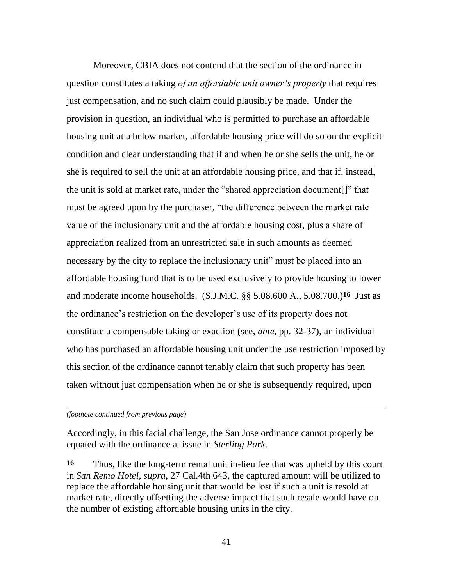Moreover, CBIA does not contend that the section of the ordinance in question constitutes a taking *of an affordable unit owner's property* that requires just compensation, and no such claim could plausibly be made. Under the provision in question, an individual who is permitted to purchase an affordable housing unit at a below market, affordable housing price will do so on the explicit condition and clear understanding that if and when he or she sells the unit, he or she is required to sell the unit at an affordable housing price, and that if, instead, the unit is sold at market rate, under the "shared appreciation document." that must be agreed upon by the purchaser, "the difference between the market rate value of the inclusionary unit and the affordable housing cost, plus a share of appreciation realized from an unrestricted sale in such amounts as deemed necessary by the city to replace the inclusionary unit" must be placed into an affordable housing fund that is to be used exclusively to provide housing to lower and moderate income households. (S.J.M.C. §§ 5.08.600 A., 5.08.700.)**16** Just as the ordinance's restriction on the developer's use of its property does not constitute a compensable taking or exaction (see, *ante*, pp. 32-37), an individual who has purchased an affordable housing unit under the use restriction imposed by this section of the ordinance cannot tenably claim that such property has been taken without just compensation when he or she is subsequently required, upon

*(footnote continued from previous page)*

l

Accordingly, in this facial challenge, the San Jose ordinance cannot properly be equated with the ordinance at issue in *Sterling Park*.

**16** Thus, like the long-term rental unit in-lieu fee that was upheld by this court in *San Remo Hotel*, *supra*, 27 Cal.4th 643, the captured amount will be utilized to replace the affordable housing unit that would be lost if such a unit is resold at market rate, directly offsetting the adverse impact that such resale would have on the number of existing affordable housing units in the city.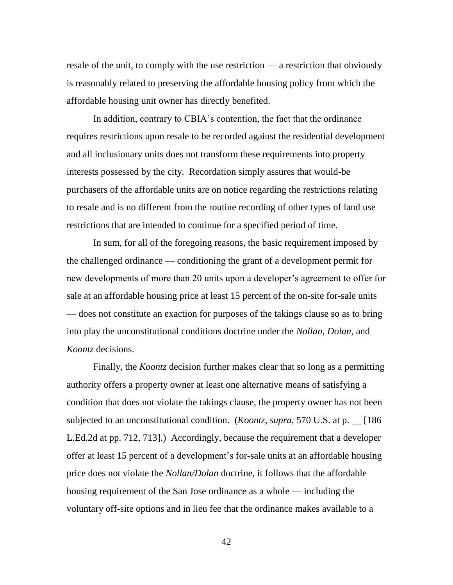resale of the unit, to comply with the use restriction — a restriction that obviously is reasonably related to preserving the affordable housing policy from which the affordable housing unit owner has directly benefited.

In addition, contrary to CBIA's contention, the fact that the ordinance requires restrictions upon resale to be recorded against the residential development and all inclusionary units does not transform these requirements into property interests possessed by the city. Recordation simply assures that would-be purchasers of the affordable units are on notice regarding the restrictions relating to resale and is no different from the routine recording of other types of land use restrictions that are intended to continue for a specified period of time.

In sum, for all of the foregoing reasons, the basic requirement imposed by the challenged ordinance — conditioning the grant of a development permit for new developments of more than 20 units upon a developer's agreement to offer for sale at an affordable housing price at least 15 percent of the on-site for-sale units — does not constitute an exaction for purposes of the takings clause so as to bring into play the unconstitutional conditions doctrine under the *Nollan*, *Dolan*, and *Koontz* decisions.

Finally, the *Koontz* decision further makes clear that so long as a permitting authority offers a property owner at least one alternative means of satisfying a condition that does not violate the takings clause, the property owner has not been subjected to an unconstitutional condition. (*Koontz*, *supra*, 570 U.S. at p. \_\_ [186 L.Ed.2d at pp. 712, 713].) Accordingly, because the requirement that a developer offer at least 15 percent of a development's for-sale units at an affordable housing price does not violate the *Nollan/Dolan* doctrine, it follows that the affordable housing requirement of the San Jose ordinance as a whole — including the voluntary off-site options and in lieu fee that the ordinance makes available to a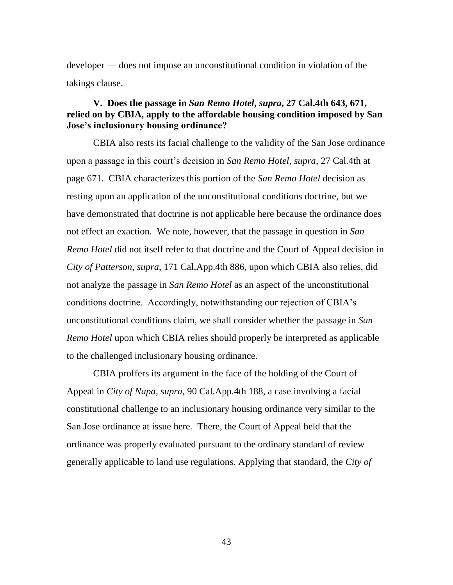developer — does not impose an unconstitutional condition in violation of the takings clause.

## **V. Does the passage in** *San Remo Hotel***,** *supra***, 27 Cal.4th 643, 671, relied on by CBIA, apply to the affordable housing condition imposed by San Jose's inclusionary housing ordinance?**

CBIA also rests its facial challenge to the validity of the San Jose ordinance upon a passage in this court's decision in *San Remo Hotel*, *supra*, 27 Cal.4th at page 671. CBIA characterizes this portion of the *San Remo Hotel* decision as resting upon an application of the unconstitutional conditions doctrine, but we have demonstrated that doctrine is not applicable here because the ordinance does not effect an exaction. We note, however, that the passage in question in *San Remo Hotel* did not itself refer to that doctrine and the Court of Appeal decision in *City of Patterson*, *supra*, 171 Cal.App.4th 886, upon which CBIA also relies, did not analyze the passage in *San Remo Hotel* as an aspect of the unconstitutional conditions doctrine. Accordingly, notwithstanding our rejection of CBIA's unconstitutional conditions claim, we shall consider whether the passage in *San Remo Hotel* upon which CBIA relies should properly be interpreted as applicable to the challenged inclusionary housing ordinance.

CBIA proffers its argument in the face of the holding of the Court of Appeal in *City of Napa, supra,* 90 Cal.App.4th 188, a case involving a facial constitutional challenge to an inclusionary housing ordinance very similar to the San Jose ordinance at issue here. There, the Court of Appeal held that the ordinance was properly evaluated pursuant to the ordinary standard of review generally applicable to land use regulations. Applying that standard, the *City of*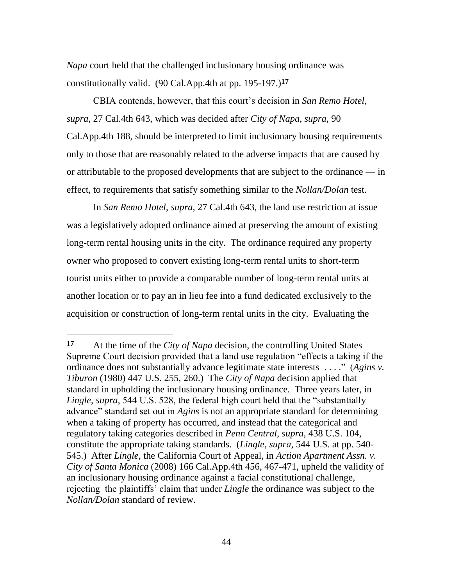*Napa* court held that the challenged inclusionary housing ordinance was constitutionally valid. (90 Cal.App.4th at pp. 195-197.)**17**

CBIA contends, however, that this court's decision in *San Remo Hotel*, *supra*, 27 Cal.4th 643, which was decided after *City of Napa*, *supra*, 90 Cal.App.4th 188, should be interpreted to limit inclusionary housing requirements only to those that are reasonably related to the adverse impacts that are caused by or attributable to the proposed developments that are subject to the ordinance — in effect, to requirements that satisfy something similar to the *Nollan/Dolan* test.

In *San Remo Hotel*, *supra*, 27 Cal.4th 643, the land use restriction at issue was a legislatively adopted ordinance aimed at preserving the amount of existing long-term rental housing units in the city. The ordinance required any property owner who proposed to convert existing long-term rental units to short-term tourist units either to provide a comparable number of long-term rental units at another location or to pay an in lieu fee into a fund dedicated exclusively to the acquisition or construction of long-term rental units in the city. Evaluating the

 $\overline{a}$ 

**<sup>17</sup>** At the time of the *City of Napa* decision, the controlling United States Supreme Court decision provided that a land use regulation "effects a taking if the ordinance does not substantially advance legitimate state interests . . . . " (*Agins v. Tiburon* (1980) 447 U.S. 255, 260.) The *City of Napa* decision applied that standard in upholding the inclusionary housing ordinance. Three years later, in *Lingle*, *supra*, 544 U.S. 528, the federal high court held that the "substantially advance" standard set out in *Agins* is not an appropriate standard for determining when a taking of property has occurred, and instead that the categorical and regulatory taking categories described in *Penn Central*, *supra*, 438 U.S. 104, constitute the appropriate taking standards. (*Lingle*, *supra*, 544 U.S. at pp. 540- 545.) After *Lingle*, the California Court of Appeal, in *Action Apartment Assn. v. City of Santa Monica* (2008) 166 Cal.App.4th 456, 467-471, upheld the validity of an inclusionary housing ordinance against a facial constitutional challenge, rejecting the plaintiffs' claim that under *Lingle* the ordinance was subject to the *Nollan/Dolan* standard of review.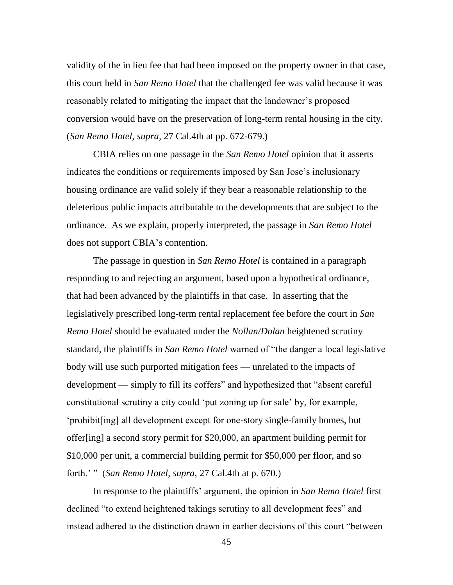validity of the in lieu fee that had been imposed on the property owner in that case, this court held in *San Remo Hotel* that the challenged fee was valid because it was reasonably related to mitigating the impact that the landowner's proposed conversion would have on the preservation of long-term rental housing in the city. (*San Remo Hotel, supra,* 27 Cal.4th at pp. 672-679.)

CBIA relies on one passage in the *San Remo Hotel* opinion that it asserts indicates the conditions or requirements imposed by San Jose's inclusionary housing ordinance are valid solely if they bear a reasonable relationship to the deleterious public impacts attributable to the developments that are subject to the ordinance. As we explain, properly interpreted, the passage in *San Remo Hotel* does not support CBIA's contention.

The passage in question in *San Remo Hotel* is contained in a paragraph responding to and rejecting an argument, based upon a hypothetical ordinance, that had been advanced by the plaintiffs in that case. In asserting that the legislatively prescribed long-term rental replacement fee before the court in *San Remo Hotel* should be evaluated under the *Nollan/Dolan* heightened scrutiny standard, the plaintiffs in *San Remo Hotel* warned of "the danger a local legislative body will use such purported mitigation fees — unrelated to the impacts of development — simply to fill its coffers" and hypothesized that "absent careful" constitutional scrutiny a city could 'put zoning up for sale' by, for example, ‗prohibit[ing] all development except for one-story single-family homes, but offer[ing] a second story permit for \$20,000, an apartment building permit for \$10,000 per unit, a commercial building permit for \$50,000 per floor, and so forth.' " (*San Remo Hotel, supra, 27 Cal.4th at p. 670.*)

In response to the plaintiffs' argument, the opinion in *San Remo Hotel* first declined "to extend heightened takings scrutiny to all development fees" and instead adhered to the distinction drawn in earlier decisions of this court "between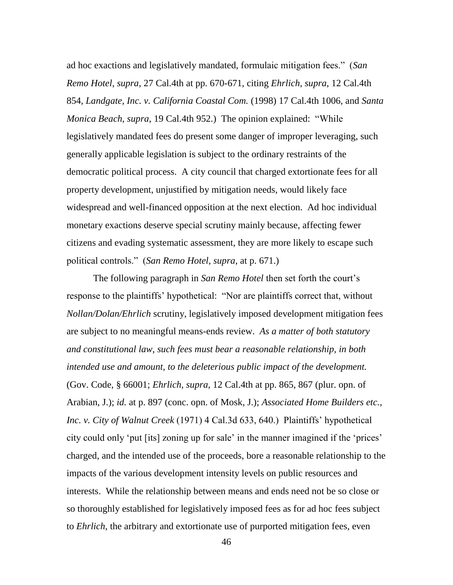ad hoc exactions and legislatively mandated, formulaic mitigation fees.‖ (*San Remo Hotel*, *supra*, 27 Cal.4th at pp. 670-671, citing *Ehrlich*, *supra*, 12 Cal.4th 854, *Landgate, Inc. v. California Coastal Com.* (1998) 17 Cal.4th 1006, and *Santa Monica Beach, supra,* 19 Cal.4th 952.) The opinion explained: "While legislatively mandated fees do present some danger of improper leveraging, such generally applicable legislation is subject to the ordinary restraints of the democratic political process. A city council that charged extortionate fees for all property development, unjustified by mitigation needs, would likely face widespread and well-financed opposition at the next election. Ad hoc individual monetary exactions deserve special scrutiny mainly because, affecting fewer citizens and evading systematic assessment, they are more likely to escape such political controls.‖ (*San Remo Hotel, supra*, at p. 671.)

The following paragraph in *San Remo Hotel* then set forth the court's response to the plaintiffs' hypothetical: "Nor are plaintiffs correct that, without *Nollan/Dolan/Ehrlich* scrutiny, legislatively imposed development mitigation fees are subject to no meaningful means-ends review. *As a matter of both statutory and constitutional law, such fees must bear a reasonable relationship, in both intended use and amount, to the deleterious public impact of the development.* (Gov. Code, § 66001; *Ehrlich*, *supra*, 12 Cal.4th at pp. 865, 867 (plur. opn. of Arabian, J.); *id.* at p. 897 (conc. opn. of Mosk, J.); *Associated Home Builders etc., Inc. v. City of Walnut Creek* (1971) 4 Cal.3d 633, 640.) Plaintiffs' hypothetical city could only 'put [its] zoning up for sale' in the manner imagined if the 'prices' charged, and the intended use of the proceeds, bore a reasonable relationship to the impacts of the various development intensity levels on public resources and interests. While the relationship between means and ends need not be so close or so thoroughly established for legislatively imposed fees as for ad hoc fees subject to *Ehrlich*, the arbitrary and extortionate use of purported mitigation fees, even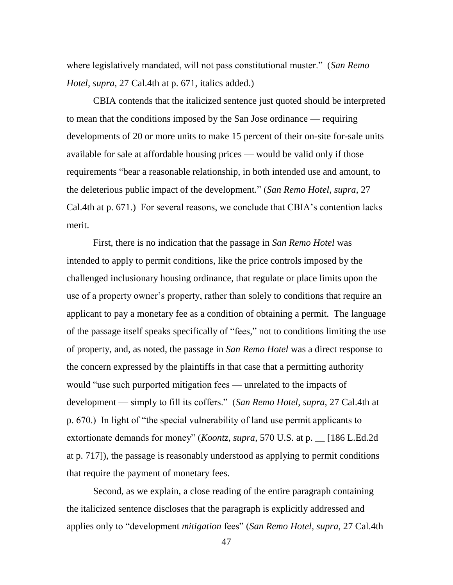where legislatively mandated, will not pass constitutional muster." (*San Remo Hotel, supra,* 27 Cal.4th at p. 671, italics added.)

CBIA contends that the italicized sentence just quoted should be interpreted to mean that the conditions imposed by the San Jose ordinance — requiring developments of 20 or more units to make 15 percent of their on-site for-sale units available for sale at affordable housing prices — would be valid only if those requirements "bear a reasonable relationship, in both intended use and amount, to the deleterious public impact of the development.‖ (*San Remo Hotel*, *supra*, 27 Cal.4th at p. 671.) For several reasons, we conclude that CBIA's contention lacks merit.

First, there is no indication that the passage in *San Remo Hotel* was intended to apply to permit conditions, like the price controls imposed by the challenged inclusionary housing ordinance, that regulate or place limits upon the use of a property owner's property, rather than solely to conditions that require an applicant to pay a monetary fee as a condition of obtaining a permit. The language of the passage itself speaks specifically of "fees," not to conditions limiting the use of property, and, as noted, the passage in *San Remo Hotel* was a direct response to the concern expressed by the plaintiffs in that case that a permitting authority would "use such purported mitigation fees — unrelated to the impacts of development — simply to fill its coffers.‖ (*San Remo Hotel*, *supra*, 27 Cal.4th at p. 670.) In light of "the special vulnerability of land use permit applicants to extortionate demands for money" (*Koontz*, *supra*, 570 U.S. at p. \_\_ [186 L.Ed.2d] at p. 717]), the passage is reasonably understood as applying to permit conditions that require the payment of monetary fees.

Second, as we explain, a close reading of the entire paragraph containing the italicized sentence discloses that the paragraph is explicitly addressed and applies only to "development *mitigation* fees" (*San Remo Hotel*, *supra*, 27 Cal.4th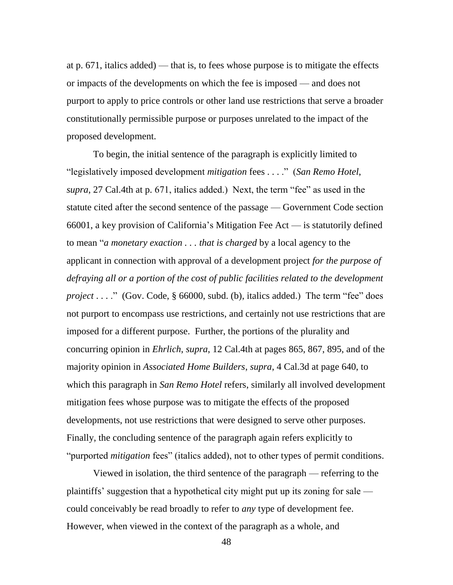at p. 671, italics added) — that is, to fees whose purpose is to mitigate the effects or impacts of the developments on which the fee is imposed — and does not purport to apply to price controls or other land use restrictions that serve a broader constitutionally permissible purpose or purposes unrelated to the impact of the proposed development.

To begin, the initial sentence of the paragraph is explicitly limited to ―legislatively imposed development *mitigation* fees . . . .‖ (*San Remo Hotel*, *supra*, 27 Cal.4th at p. 671, italics added.) Next, the term "fee" as used in the statute cited after the second sentence of the passage — Government Code section 66001, a key provision of California's Mitigation Fee Act — is statutorily defined to mean ―*a monetary exaction . . . that is charged* by a local agency to the applicant in connection with approval of a development project *for the purpose of defraying all or a portion of the cost of public facilities related to the development project* . . . ." (Gov. Code,  $\S$  66000, subd. (b), italics added.) The term "fee" does not purport to encompass use restrictions, and certainly not use restrictions that are imposed for a different purpose. Further, the portions of the plurality and concurring opinion in *Ehrlich*, *supra*, 12 Cal.4th at pages 865, 867, 895, and of the majority opinion in *Associated Home Builders*, *supra*, 4 Cal.3d at page 640, to which this paragraph in *San Remo Hotel* refers, similarly all involved development mitigation fees whose purpose was to mitigate the effects of the proposed developments, not use restrictions that were designed to serve other purposes. Finally, the concluding sentence of the paragraph again refers explicitly to "purported *mitigation* fees" (italics added), not to other types of permit conditions.

Viewed in isolation, the third sentence of the paragraph — referring to the plaintiffs' suggestion that a hypothetical city might put up its zoning for sale could conceivably be read broadly to refer to *any* type of development fee. However, when viewed in the context of the paragraph as a whole, and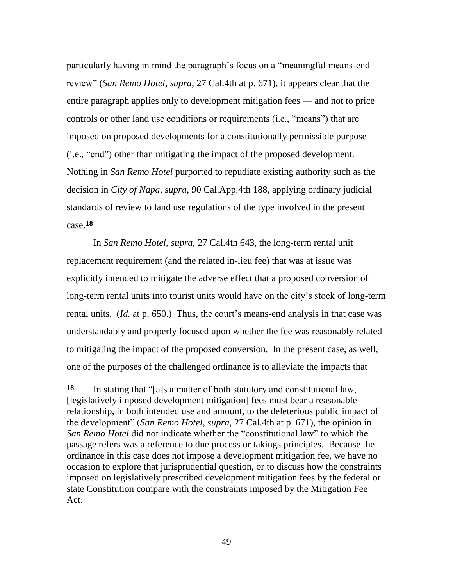particularly having in mind the paragraph's focus on a "meaningful means-end" review‖ (*San Remo Hotel*, *supra*, 27 Cal.4th at p. 671), it appears clear that the entire paragraph applies only to development mitigation fees ― and not to price controls or other land use conditions or requirements  $(i.e., "means")$  that are imposed on proposed developments for a constitutionally permissible purpose (i.e., "end") other than mitigating the impact of the proposed development. Nothing in *San Remo Hotel* purported to repudiate existing authority such as the decision in *City of Napa*, *supra*, 90 Cal.App.4th 188, applying ordinary judicial standards of review to land use regulations of the type involved in the present case.**18**

In *San Remo Hotel*, *supra*, 27 Cal.4th 643, the long-term rental unit replacement requirement (and the related in-lieu fee) that was at issue was explicitly intended to mitigate the adverse effect that a proposed conversion of long-term rental units into tourist units would have on the city's stock of long-term rental units. (*Id.* at p. 650.) Thus, the court's means-end analysis in that case was understandably and properly focused upon whether the fee was reasonably related to mitigating the impact of the proposed conversion. In the present case, as well, one of the purposes of the challenged ordinance is to alleviate the impacts that

 $\overline{a}$ 

<sup>18</sup> In stating that "[a]s a matter of both statutory and constitutional law, [legislatively imposed development mitigation] fees must bear a reasonable relationship, in both intended use and amount, to the deleterious public impact of the development‖ (*San Remo Hotel*, *supra*, 27 Cal.4th at p. 671), the opinion in *San Remo Hotel* did not indicate whether the "constitutional law" to which the passage refers was a reference to due process or takings principles. Because the ordinance in this case does not impose a development mitigation fee, we have no occasion to explore that jurisprudential question, or to discuss how the constraints imposed on legislatively prescribed development mitigation fees by the federal or state Constitution compare with the constraints imposed by the Mitigation Fee Act.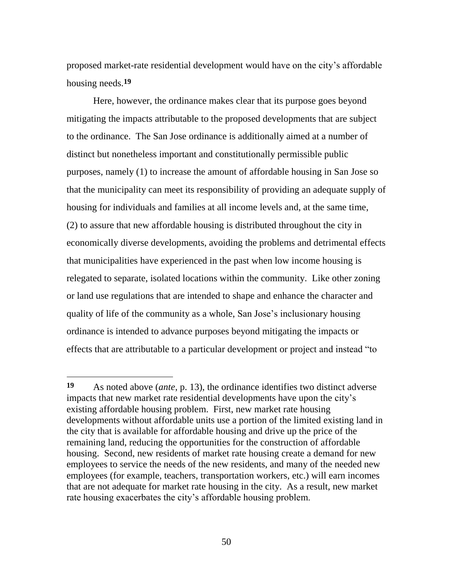proposed market-rate residential development would have on the city's affordable housing needs.**19**

Here, however, the ordinance makes clear that its purpose goes beyond mitigating the impacts attributable to the proposed developments that are subject to the ordinance. The San Jose ordinance is additionally aimed at a number of distinct but nonetheless important and constitutionally permissible public purposes, namely (1) to increase the amount of affordable housing in San Jose so that the municipality can meet its responsibility of providing an adequate supply of housing for individuals and families at all income levels and, at the same time, (2) to assure that new affordable housing is distributed throughout the city in economically diverse developments, avoiding the problems and detrimental effects that municipalities have experienced in the past when low income housing is relegated to separate, isolated locations within the community. Like other zoning or land use regulations that are intended to shape and enhance the character and quality of life of the community as a whole, San Jose's inclusionary housing ordinance is intended to advance purposes beyond mitigating the impacts or effects that are attributable to a particular development or project and instead "to

**<sup>19</sup>** As noted above (*ante*, p. 13), the ordinance identifies two distinct adverse impacts that new market rate residential developments have upon the city's existing affordable housing problem. First, new market rate housing developments without affordable units use a portion of the limited existing land in the city that is available for affordable housing and drive up the price of the remaining land, reducing the opportunities for the construction of affordable housing. Second, new residents of market rate housing create a demand for new employees to service the needs of the new residents, and many of the needed new employees (for example, teachers, transportation workers, etc.) will earn incomes that are not adequate for market rate housing in the city. As a result, new market rate housing exacerbates the city's affordable housing problem.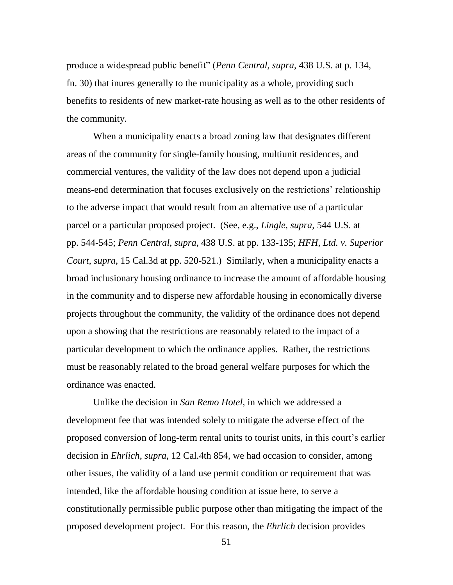produce a widespread public benefit‖ (*Penn Central*, *supra*, 438 U.S. at p. 134, fn. 30) that inures generally to the municipality as a whole, providing such benefits to residents of new market-rate housing as well as to the other residents of the community.

When a municipality enacts a broad zoning law that designates different areas of the community for single-family housing, multiunit residences, and commercial ventures, the validity of the law does not depend upon a judicial means-end determination that focuses exclusively on the restrictions' relationship to the adverse impact that would result from an alternative use of a particular parcel or a particular proposed project. (See, e.g., *Lingle*, *supra*, 544 U.S. at pp. 544-545; *Penn Central*, *supra,* 438 U.S. at pp. 133-135; *HFH, Ltd. v. Superior Court*, *supra*, 15 Cal.3d at pp. 520-521.) Similarly, when a municipality enacts a broad inclusionary housing ordinance to increase the amount of affordable housing in the community and to disperse new affordable housing in economically diverse projects throughout the community, the validity of the ordinance does not depend upon a showing that the restrictions are reasonably related to the impact of a particular development to which the ordinance applies. Rather, the restrictions must be reasonably related to the broad general welfare purposes for which the ordinance was enacted.

Unlike the decision in *San Remo Hotel*, in which we addressed a development fee that was intended solely to mitigate the adverse effect of the proposed conversion of long-term rental units to tourist units, in this court's earlier decision in *Ehrlich*, *supra*, 12 Cal.4th 854, we had occasion to consider, among other issues, the validity of a land use permit condition or requirement that was intended, like the affordable housing condition at issue here, to serve a constitutionally permissible public purpose other than mitigating the impact of the proposed development project. For this reason, the *Ehrlich* decision provides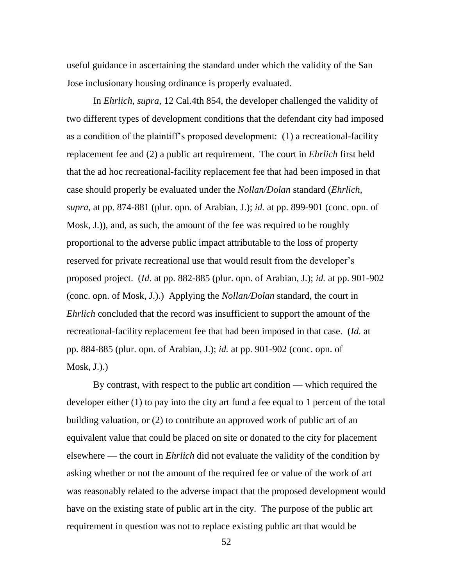useful guidance in ascertaining the standard under which the validity of the San Jose inclusionary housing ordinance is properly evaluated.

In *Ehrlich*, *supra*, 12 Cal.4th 854, the developer challenged the validity of two different types of development conditions that the defendant city had imposed as a condition of the plaintiff's proposed development: (1) a recreational-facility replacement fee and (2) a public art requirement. The court in *Ehrlich* first held that the ad hoc recreational-facility replacement fee that had been imposed in that case should properly be evaluated under the *Nollan/Dolan* standard (*Ehrlich, supra,* at pp. 874-881 (plur. opn. of Arabian, J.); *id.* at pp. 899-901 (conc. opn. of Mosk, J.)), and, as such, the amount of the fee was required to be roughly proportional to the adverse public impact attributable to the loss of property reserved for private recreational use that would result from the developer's proposed project. (*Id*. at pp. 882-885 (plur. opn. of Arabian, J.); *id.* at pp. 901-902 (conc. opn. of Mosk, J.).) Applying the *Nollan/Dolan* standard, the court in *Ehrlich* concluded that the record was insufficient to support the amount of the recreational-facility replacement fee that had been imposed in that case. (*Id.* at pp. 884-885 (plur. opn. of Arabian, J.); *id.* at pp. 901-902 (conc. opn. of Mosk, J.).)

By contrast, with respect to the public art condition — which required the developer either (1) to pay into the city art fund a fee equal to 1 percent of the total building valuation, or (2) to contribute an approved work of public art of an equivalent value that could be placed on site or donated to the city for placement elsewhere — the court in *Ehrlich* did not evaluate the validity of the condition by asking whether or not the amount of the required fee or value of the work of art was reasonably related to the adverse impact that the proposed development would have on the existing state of public art in the city. The purpose of the public art requirement in question was not to replace existing public art that would be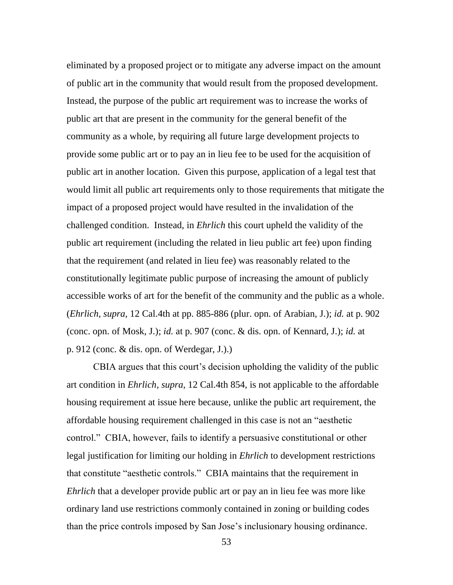eliminated by a proposed project or to mitigate any adverse impact on the amount of public art in the community that would result from the proposed development. Instead, the purpose of the public art requirement was to increase the works of public art that are present in the community for the general benefit of the community as a whole, by requiring all future large development projects to provide some public art or to pay an in lieu fee to be used for the acquisition of public art in another location. Given this purpose, application of a legal test that would limit all public art requirements only to those requirements that mitigate the impact of a proposed project would have resulted in the invalidation of the challenged condition. Instead, in *Ehrlich* this court upheld the validity of the public art requirement (including the related in lieu public art fee) upon finding that the requirement (and related in lieu fee) was reasonably related to the constitutionally legitimate public purpose of increasing the amount of publicly accessible works of art for the benefit of the community and the public as a whole. (*Ehrlich, supra,* 12 Cal.4th at pp. 885-886 (plur. opn. of Arabian, J.); *id.* at p. 902 (conc. opn. of Mosk, J.); *id.* at p. 907 (conc. & dis. opn. of Kennard, J.); *id.* at p. 912 (conc. & dis. opn. of Werdegar, J.).)

CBIA argues that this court's decision upholding the validity of the public art condition in *Ehrlich*, *supra*, 12 Cal.4th 854, is not applicable to the affordable housing requirement at issue here because, unlike the public art requirement, the affordable housing requirement challenged in this case is not an "aesthetic control." CBIA, however, fails to identify a persuasive constitutional or other legal justification for limiting our holding in *Ehrlich* to development restrictions that constitute "aesthetic controls." CBIA maintains that the requirement in *Ehrlich* that a developer provide public art or pay an in lieu fee was more like ordinary land use restrictions commonly contained in zoning or building codes than the price controls imposed by San Jose's inclusionary housing ordinance.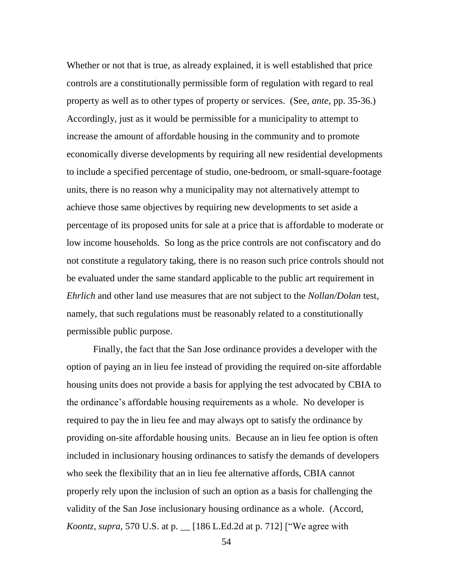Whether or not that is true, as already explained, it is well established that price controls are a constitutionally permissible form of regulation with regard to real property as well as to other types of property or services. (See, *ante*, pp. 35-36.) Accordingly, just as it would be permissible for a municipality to attempt to increase the amount of affordable housing in the community and to promote economically diverse developments by requiring all new residential developments to include a specified percentage of studio, one-bedroom, or small-square-footage units, there is no reason why a municipality may not alternatively attempt to achieve those same objectives by requiring new developments to set aside a percentage of its proposed units for sale at a price that is affordable to moderate or low income households. So long as the price controls are not confiscatory and do not constitute a regulatory taking, there is no reason such price controls should not be evaluated under the same standard applicable to the public art requirement in *Ehrlich* and other land use measures that are not subject to the *Nollan/Dolan* test, namely, that such regulations must be reasonably related to a constitutionally permissible public purpose.

Finally, the fact that the San Jose ordinance provides a developer with the option of paying an in lieu fee instead of providing the required on-site affordable housing units does not provide a basis for applying the test advocated by CBIA to the ordinance's affordable housing requirements as a whole. No developer is required to pay the in lieu fee and may always opt to satisfy the ordinance by providing on-site affordable housing units. Because an in lieu fee option is often included in inclusionary housing ordinances to satisfy the demands of developers who seek the flexibility that an in lieu fee alternative affords, CBIA cannot properly rely upon the inclusion of such an option as a basis for challenging the validity of the San Jose inclusionary housing ordinance as a whole. (Accord, *Koontz, supra,* 570 U.S. at p. \_ [186 L.Ed.2d at p. 712] ["We agree with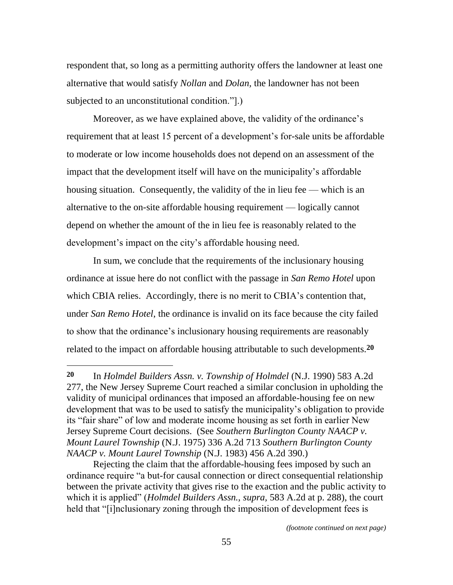respondent that, so long as a permitting authority offers the landowner at least one alternative that would satisfy *Nollan* and *Dolan,* the landowner has not been subjected to an unconstitutional condition."...

Moreover, as we have explained above, the validity of the ordinance's requirement that at least 15 percent of a development's for-sale units be affordable to moderate or low income households does not depend on an assessment of the impact that the development itself will have on the municipality's affordable housing situation. Consequently, the validity of the in lieu fee — which is an alternative to the on-site affordable housing requirement — logically cannot depend on whether the amount of the in lieu fee is reasonably related to the development's impact on the city's affordable housing need.

In sum, we conclude that the requirements of the inclusionary housing ordinance at issue here do not conflict with the passage in *San Remo Hotel* upon which CBIA relies. Accordingly, there is no merit to CBIA's contention that, under *San Remo Hotel*, the ordinance is invalid on its face because the city failed to show that the ordinance's inclusionary housing requirements are reasonably related to the impact on affordable housing attributable to such developments.**20**

**<sup>20</sup>** In *Holmdel Builders Assn. v. Township of Holmdel* (N.J. 1990) 583 A.2d 277, the New Jersey Supreme Court reached a similar conclusion in upholding the validity of municipal ordinances that imposed an affordable-housing fee on new development that was to be used to satisfy the municipality's obligation to provide its "fair share" of low and moderate income housing as set forth in earlier New Jersey Supreme Court decisions. (See *Southern Burlington County NAACP v. Mount Laurel Township* (N.J. 1975) 336 A.2d 713 *Southern Burlington County NAACP v. Mount Laurel Township* (N.J. 1983) 456 A.2d 390.)

Rejecting the claim that the affordable-housing fees imposed by such an ordinance require "a but-for causal connection or direct consequential relationship between the private activity that gives rise to the exaction and the public activity to which it is applied" (*Holmdel Builders Assn., supra,* 583 A.2d at p. 288), the court held that "[i]nclusionary zoning through the imposition of development fees is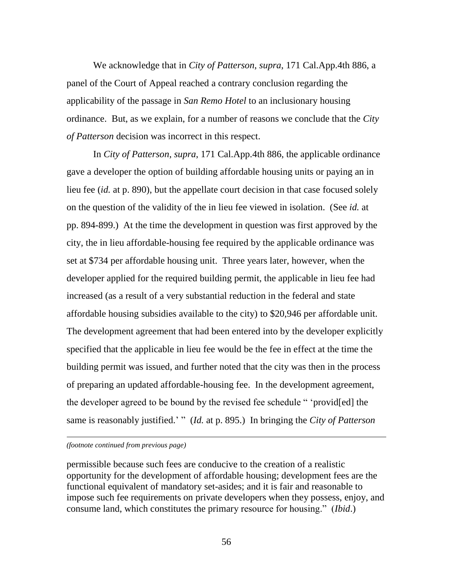We acknowledge that in *City of Patterson*, *supra*, 171 Cal.App.4th 886, a panel of the Court of Appeal reached a contrary conclusion regarding the applicability of the passage in *San Remo Hotel* to an inclusionary housing ordinance. But, as we explain, for a number of reasons we conclude that the *City of Patterson* decision was incorrect in this respect.

In *City of Patterson*, *supra*, 171 Cal.App.4th 886, the applicable ordinance gave a developer the option of building affordable housing units or paying an in lieu fee (*id.* at p. 890), but the appellate court decision in that case focused solely on the question of the validity of the in lieu fee viewed in isolation. (See *id.* at pp. 894-899.) At the time the development in question was first approved by the city, the in lieu affordable-housing fee required by the applicable ordinance was set at \$734 per affordable housing unit. Three years later, however, when the developer applied for the required building permit, the applicable in lieu fee had increased (as a result of a very substantial reduction in the federal and state affordable housing subsidies available to the city) to \$20,946 per affordable unit. The development agreement that had been entered into by the developer explicitly specified that the applicable in lieu fee would be the fee in effect at the time the building permit was issued, and further noted that the city was then in the process of preparing an updated affordable-housing fee. In the development agreement, the developer agreed to be bound by the revised fee schedule " 'provided] the same is reasonably justified.' " (*Id.* at p. 895.) In bringing the *City of Patterson* 

*(footnote continued from previous page)*

l

permissible because such fees are conducive to the creation of a realistic opportunity for the development of affordable housing; development fees are the functional equivalent of mandatory set-asides; and it is fair and reasonable to impose such fee requirements on private developers when they possess, enjoy, and consume land, which constitutes the primary resource for housing." *(Ibid.)*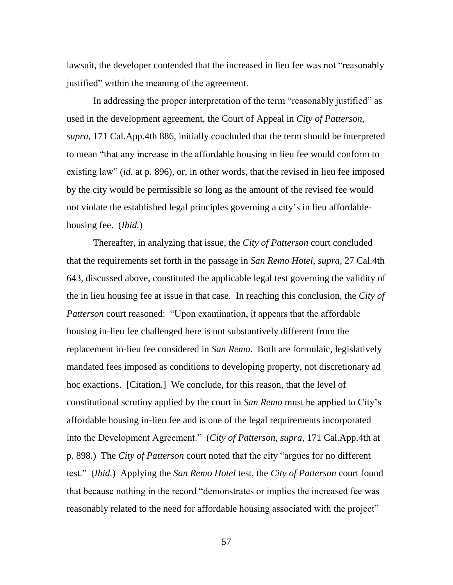lawsuit, the developer contended that the increased in lieu fee was not "reasonably" justified" within the meaning of the agreement.

In addressing the proper interpretation of the term "reasonably justified" as used in the development agreement, the Court of Appeal in *City of Patterson*, *supra*, 171 Cal.App.4th 886, initially concluded that the term should be interpreted to mean "that any increase in the affordable housing in lieu fee would conform to existing law" (*id.* at p. 896), or, in other words, that the revised in lieu fee imposed by the city would be permissible so long as the amount of the revised fee would not violate the established legal principles governing a city's in lieu affordablehousing fee. (*Ibid.*)

Thereafter, in analyzing that issue, the *City of Patterson* court concluded that the requirements set forth in the passage in *San Remo Hotel*, *supra*, 27 Cal.4th 643, discussed above, constituted the applicable legal test governing the validity of the in lieu housing fee at issue in that case. In reaching this conclusion, the *City of Patterson* court reasoned: "Upon examination, it appears that the affordable housing in-lieu fee challenged here is not substantively different from the replacement in-lieu fee considered in *San Remo*. Both are formulaic, legislatively mandated fees imposed as conditions to developing property, not discretionary ad hoc exactions. [Citation.] We conclude, for this reason, that the level of constitutional scrutiny applied by the court in *San Remo* must be applied to City's affordable housing in-lieu fee and is one of the legal requirements incorporated into the Development Agreement.‖ (*City of Patterson*, *supra*, 171 Cal.App.4th at p. 898.) The *City of Patterson* court noted that the city "argues for no different test.‖ (*Ibid.*) Applying the *San Remo Hotel* test, the *City of Patterson* court found that because nothing in the record "demonstrates or implies the increased fee was reasonably related to the need for affordable housing associated with the project"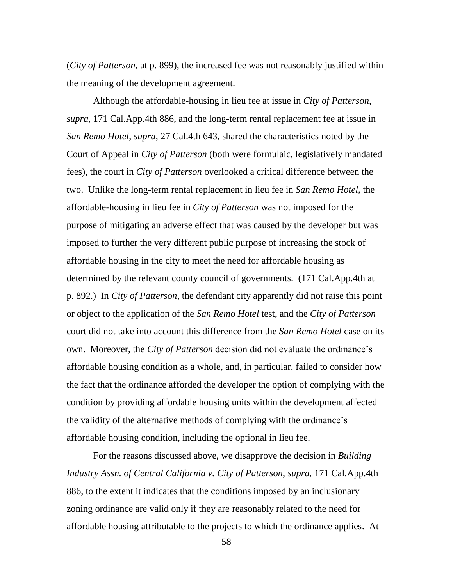(*City of Patterson*, at p. 899), the increased fee was not reasonably justified within the meaning of the development agreement.

Although the affordable-housing in lieu fee at issue in *City of Patterson*, *supra*, 171 Cal.App.4th 886, and the long-term rental replacement fee at issue in *San Remo Hotel*, *supra*, 27 Cal.4th 643, shared the characteristics noted by the Court of Appeal in *City of Patterson* (both were formulaic, legislatively mandated fees), the court in *City of Patterson* overlooked a critical difference between the two. Unlike the long-term rental replacement in lieu fee in *San Remo Hotel*, the affordable-housing in lieu fee in *City of Patterson* was not imposed for the purpose of mitigating an adverse effect that was caused by the developer but was imposed to further the very different public purpose of increasing the stock of affordable housing in the city to meet the need for affordable housing as determined by the relevant county council of governments. (171 Cal.App.4th at p. 892.) In *City of Patterson*, the defendant city apparently did not raise this point or object to the application of the *San Remo Hotel* test, and the *City of Patterson* court did not take into account this difference from the *San Remo Hotel* case on its own. Moreover, the *City of Patterson* decision did not evaluate the ordinance's affordable housing condition as a whole, and, in particular, failed to consider how the fact that the ordinance afforded the developer the option of complying with the condition by providing affordable housing units within the development affected the validity of the alternative methods of complying with the ordinance's affordable housing condition, including the optional in lieu fee.

For the reasons discussed above, we disapprove the decision in *Building Industry Assn. of Central California v. City of Patterson*, *supra,* 171 Cal.App.4th 886, to the extent it indicates that the conditions imposed by an inclusionary zoning ordinance are valid only if they are reasonably related to the need for affordable housing attributable to the projects to which the ordinance applies. At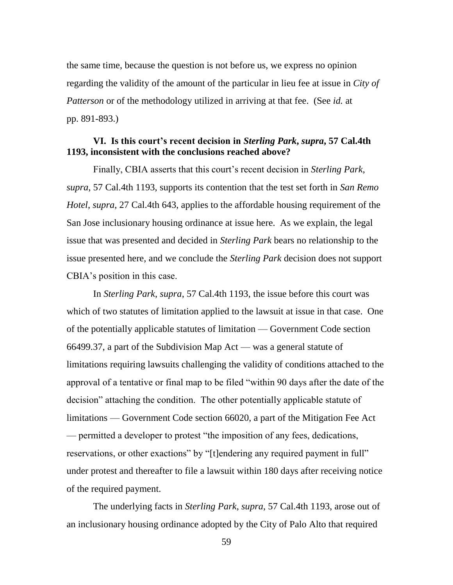the same time, because the question is not before us, we express no opinion regarding the validity of the amount of the particular in lieu fee at issue in *City of Patterson* or of the methodology utilized in arriving at that fee. (See *id.* at pp. 891-893.)

## **VI. Is this court's recent decision in** *Sterling Park***,** *supra***, 57 Cal.4th 1193, inconsistent with the conclusions reached above?**

Finally, CBIA asserts that this court's recent decision in *Sterling Park*, *supra*, 57 Cal.4th 1193, supports its contention that the test set forth in *San Remo Hotel*, *supra*, 27 Cal.4th 643, applies to the affordable housing requirement of the San Jose inclusionary housing ordinance at issue here. As we explain, the legal issue that was presented and decided in *Sterling Park* bears no relationship to the issue presented here, and we conclude the *Sterling Park* decision does not support CBIA's position in this case.

In *Sterling Park*, *supra*, 57 Cal.4th 1193, the issue before this court was which of two statutes of limitation applied to the lawsuit at issue in that case. One of the potentially applicable statutes of limitation — Government Code section 66499.37, a part of the Subdivision Map Act — was a general statute of limitations requiring lawsuits challenging the validity of conditions attached to the approval of a tentative or final map to be filed "within 90 days after the date of the decision" attaching the condition. The other potentially applicable statute of limitations — Government Code section 66020, a part of the Mitigation Fee Act — permitted a developer to protest "the imposition of any fees, dedications, reservations, or other exactions" by "[t]endering any required payment in full" under protest and thereafter to file a lawsuit within 180 days after receiving notice of the required payment.

The underlying facts in *Sterling Park*, *supra*, 57 Cal.4th 1193, arose out of an inclusionary housing ordinance adopted by the City of Palo Alto that required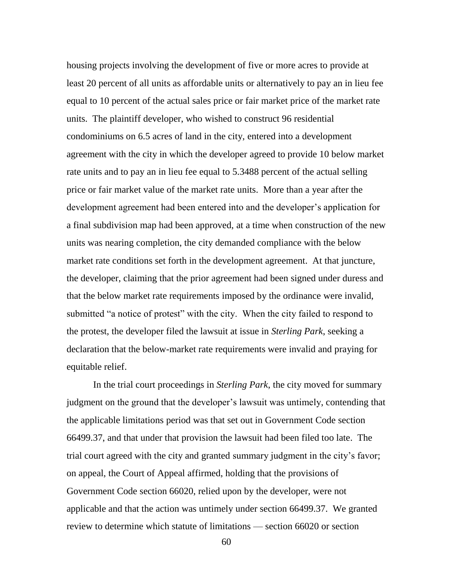housing projects involving the development of five or more acres to provide at least 20 percent of all units as affordable units or alternatively to pay an in lieu fee equal to 10 percent of the actual sales price or fair market price of the market rate units. The plaintiff developer, who wished to construct 96 residential condominiums on 6.5 acres of land in the city, entered into a development agreement with the city in which the developer agreed to provide 10 below market rate units and to pay an in lieu fee equal to 5.3488 percent of the actual selling price or fair market value of the market rate units. More than a year after the development agreement had been entered into and the developer's application for a final subdivision map had been approved, at a time when construction of the new units was nearing completion, the city demanded compliance with the below market rate conditions set forth in the development agreement. At that juncture, the developer, claiming that the prior agreement had been signed under duress and that the below market rate requirements imposed by the ordinance were invalid, submitted "a notice of protest" with the city. When the city failed to respond to the protest, the developer filed the lawsuit at issue in *Sterling Park*, seeking a declaration that the below-market rate requirements were invalid and praying for equitable relief.

In the trial court proceedings in *Sterling Park*, the city moved for summary judgment on the ground that the developer's lawsuit was untimely, contending that the applicable limitations period was that set out in Government Code section 66499.37, and that under that provision the lawsuit had been filed too late. The trial court agreed with the city and granted summary judgment in the city's favor; on appeal, the Court of Appeal affirmed, holding that the provisions of Government Code section 66020, relied upon by the developer, were not applicable and that the action was untimely under section 66499.37. We granted review to determine which statute of limitations — section 66020 or section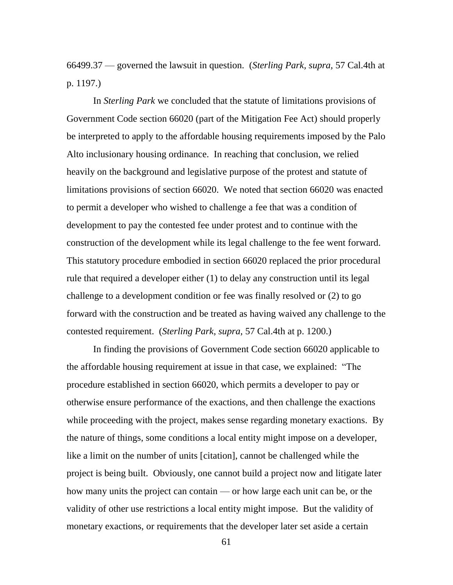66499.37 — governed the lawsuit in question. (*Sterling Park, supra,* 57 Cal.4th at p. 1197.)

In *Sterling Park* we concluded that the statute of limitations provisions of Government Code section 66020 (part of the Mitigation Fee Act) should properly be interpreted to apply to the affordable housing requirements imposed by the Palo Alto inclusionary housing ordinance. In reaching that conclusion, we relied heavily on the background and legislative purpose of the protest and statute of limitations provisions of section 66020. We noted that section 66020 was enacted to permit a developer who wished to challenge a fee that was a condition of development to pay the contested fee under protest and to continue with the construction of the development while its legal challenge to the fee went forward. This statutory procedure embodied in section 66020 replaced the prior procedural rule that required a developer either (1) to delay any construction until its legal challenge to a development condition or fee was finally resolved or (2) to go forward with the construction and be treated as having waived any challenge to the contested requirement. (*Sterling Park*, *supra*, 57 Cal.4th at p. 1200.)

In finding the provisions of Government Code section 66020 applicable to the affordable housing requirement at issue in that case, we explained: "The procedure established in section 66020, which permits a developer to pay or otherwise ensure performance of the exactions, and then challenge the exactions while proceeding with the project, makes sense regarding monetary exactions. By the nature of things, some conditions a local entity might impose on a developer, like a limit on the number of units [citation], cannot be challenged while the project is being built. Obviously, one cannot build a project now and litigate later how many units the project can contain — or how large each unit can be, or the validity of other use restrictions a local entity might impose. But the validity of monetary exactions, or requirements that the developer later set aside a certain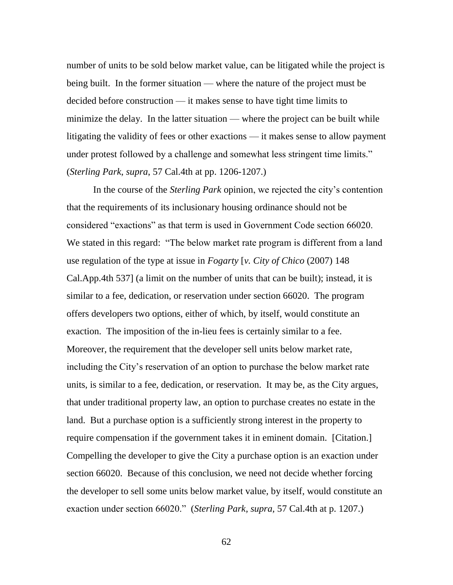number of units to be sold below market value, can be litigated while the project is being built. In the former situation — where the nature of the project must be decided before construction — it makes sense to have tight time limits to minimize the delay. In the latter situation — where the project can be built while litigating the validity of fees or other exactions — it makes sense to allow payment under protest followed by a challenge and somewhat less stringent time limits." (*Sterling Park*, *supra*, 57 Cal.4th at pp. 1206-1207.)

In the course of the *Sterling Park* opinion, we rejected the city's contention that the requirements of its inclusionary housing ordinance should not be considered "exactions" as that term is used in Government Code section 66020. We stated in this regard: "The below market rate program is different from a land use regulation of the type at issue in *Fogarty* [*v. City of Chico* (2007) 148 Cal.App.4th 537] (a limit on the number of units that can be built); instead, it is similar to a fee, dedication, or reservation under section 66020. The program offers developers two options, either of which, by itself, would constitute an exaction. The imposition of the in-lieu fees is certainly similar to a fee. Moreover, the requirement that the developer sell units below market rate, including the City's reservation of an option to purchase the below market rate units, is similar to a fee, dedication, or reservation. It may be, as the City argues, that under traditional property law, an option to purchase creates no estate in the land. But a purchase option is a sufficiently strong interest in the property to require compensation if the government takes it in eminent domain. [Citation.] Compelling the developer to give the City a purchase option is an exaction under section 66020. Because of this conclusion, we need not decide whether forcing the developer to sell some units below market value, by itself, would constitute an exaction under section 66020." (*Sterling Park, supra,* 57 Cal.4th at p. 1207.)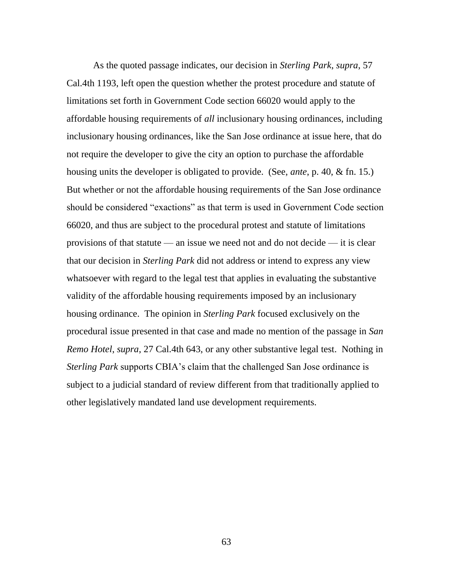As the quoted passage indicates, our decision in *Sterling Park*, *supra*, 57 Cal.4th 1193, left open the question whether the protest procedure and statute of limitations set forth in Government Code section 66020 would apply to the affordable housing requirements of *all* inclusionary housing ordinances, including inclusionary housing ordinances, like the San Jose ordinance at issue here, that do not require the developer to give the city an option to purchase the affordable housing units the developer is obligated to provide. (See, *ante*, p. 40, & fn. 15.) But whether or not the affordable housing requirements of the San Jose ordinance should be considered "exactions" as that term is used in Government Code section 66020, and thus are subject to the procedural protest and statute of limitations provisions of that statute — an issue we need not and do not decide — it is clear that our decision in *Sterling Park* did not address or intend to express any view whatsoever with regard to the legal test that applies in evaluating the substantive validity of the affordable housing requirements imposed by an inclusionary housing ordinance. The opinion in *Sterling Park* focused exclusively on the procedural issue presented in that case and made no mention of the passage in *San Remo Hotel*, *supra*, 27 Cal.4th 643, or any other substantive legal test. Nothing in *Sterling Park* supports CBIA's claim that the challenged San Jose ordinance is subject to a judicial standard of review different from that traditionally applied to other legislatively mandated land use development requirements.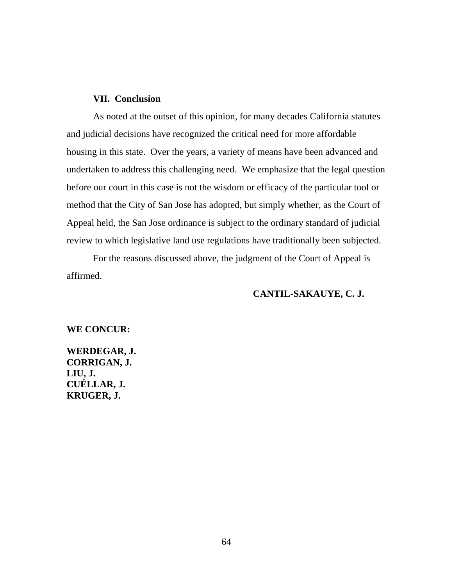#### **VII. Conclusion**

As noted at the outset of this opinion, for many decades California statutes and judicial decisions have recognized the critical need for more affordable housing in this state. Over the years, a variety of means have been advanced and undertaken to address this challenging need. We emphasize that the legal question before our court in this case is not the wisdom or efficacy of the particular tool or method that the City of San Jose has adopted, but simply whether, as the Court of Appeal held, the San Jose ordinance is subject to the ordinary standard of judicial review to which legislative land use regulations have traditionally been subjected.

For the reasons discussed above, the judgment of the Court of Appeal is affirmed.

## **CANTIL-SAKAUYE, C. J.**

**WE CONCUR:**

**WERDEGAR, J. CORRIGAN, J. LIU, J. CUÉLLAR, J. KRUGER, J.**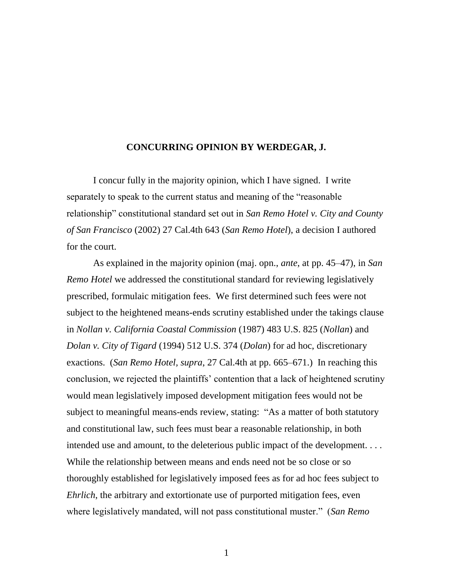#### **CONCURRING OPINION BY WERDEGAR, J.**

I concur fully in the majority opinion, which I have signed. I write separately to speak to the current status and meaning of the "reasonable" relationship" constitutional standard set out in *San Remo Hotel v. City and County of San Francisco* (2002) 27 Cal.4th 643 (*San Remo Hotel*), a decision I authored for the court.

As explained in the majority opinion (maj. opn., *ante*, at pp. 45–47), in *San Remo Hotel* we addressed the constitutional standard for reviewing legislatively prescribed, formulaic mitigation fees. We first determined such fees were not subject to the heightened means-ends scrutiny established under the takings clause in *Nollan v. California Coastal Commission* (1987) 483 U.S. 825 (*Nollan*) and *Dolan v. City of Tigard* (1994) 512 U.S. 374 (*Dolan*) for ad hoc, discretionary exactions. (*San Remo Hotel, supra*, 27 Cal.4th at pp. 665–671.) In reaching this conclusion, we rejected the plaintiffs' contention that a lack of heightened scrutiny would mean legislatively imposed development mitigation fees would not be subject to meaningful means-ends review, stating: "As a matter of both statutory and constitutional law, such fees must bear a reasonable relationship, in both intended use and amount, to the deleterious public impact of the development. . . . While the relationship between means and ends need not be so close or so thoroughly established for legislatively imposed fees as for ad hoc fees subject to *Ehrlich*, the arbitrary and extortionate use of purported mitigation fees, even where legislatively mandated, will not pass constitutional muster." (*San Remo*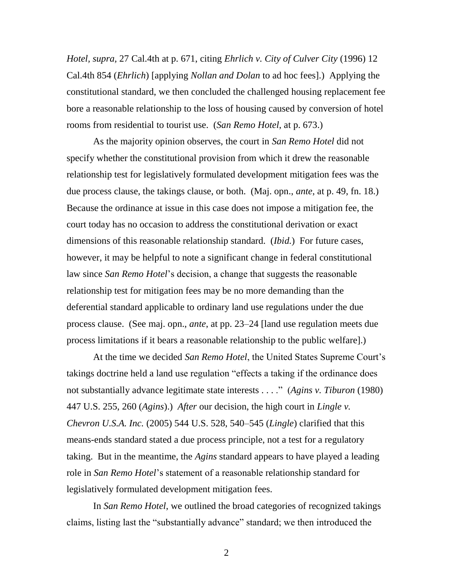*Hotel, supra,* 27 Cal.4th at p. 671, citing *Ehrlich v. City of Culver City* (1996) 12 Cal.4th 854 (*Ehrlich*) [applying *Nollan and Dolan* to ad hoc fees].) Applying the constitutional standard, we then concluded the challenged housing replacement fee bore a reasonable relationship to the loss of housing caused by conversion of hotel rooms from residential to tourist use. (*San Remo Hotel*, at p. 673.)

As the majority opinion observes, the court in *San Remo Hotel* did not specify whether the constitutional provision from which it drew the reasonable relationship test for legislatively formulated development mitigation fees was the due process clause, the takings clause, or both. (Maj. opn., *ante*, at p. 49, fn. 18.) Because the ordinance at issue in this case does not impose a mitigation fee, the court today has no occasion to address the constitutional derivation or exact dimensions of this reasonable relationship standard. (*Ibid.*) For future cases, however, it may be helpful to note a significant change in federal constitutional law since *San Remo Hotel*'s decision, a change that suggests the reasonable relationship test for mitigation fees may be no more demanding than the deferential standard applicable to ordinary land use regulations under the due process clause. (See maj. opn., *ante*, at pp. 23–24 [land use regulation meets due process limitations if it bears a reasonable relationship to the public welfare].)

At the time we decided *San Remo Hotel*, the United States Supreme Court's takings doctrine held a land use regulation "effects a taking if the ordinance does not substantially advance legitimate state interests . . . .<sup>"</sup> (*Agins v. Tiburon* (1980) 447 U.S. 255, 260 (*Agins*).) *After* our decision, the high court in *Lingle v. Chevron U.S.A. Inc.* (2005) 544 U.S. 528, 540–545 (*Lingle*) clarified that this means-ends standard stated a due process principle, not a test for a regulatory taking. But in the meantime, the *Agins* standard appears to have played a leading role in *San Remo Hotel*'s statement of a reasonable relationship standard for legislatively formulated development mitigation fees.

In *San Remo Hotel*, we outlined the broad categories of recognized takings claims, listing last the "substantially advance" standard; we then introduced the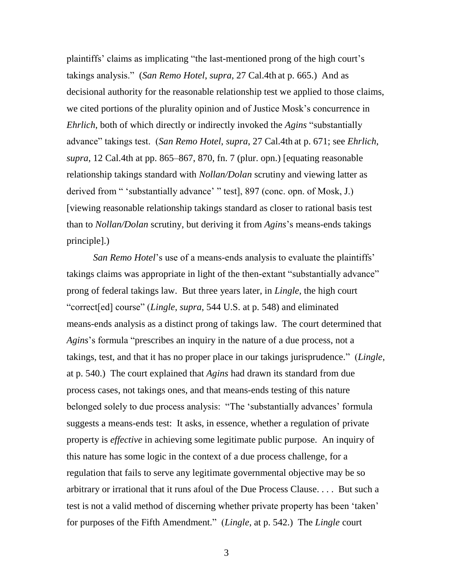plaintiffs' claims as implicating "the last-mentioned prong of the high court's takings analysis.‖ (*San Remo Hotel*, *supra*, 27 Cal.4th at p. 665.) And as decisional authority for the reasonable relationship test we applied to those claims, we cited portions of the plurality opinion and of Justice Mosk's concurrence in *Ehrlich*, both of which directly or indirectly invoked the *Agins* "substantially advance‖ takings test. (*San Remo Hotel*, *supra*, 27 Cal.4th at p. 671; see *Ehrlich*, *supra*, 12 Cal.4th at pp. 865–867, 870, fn. 7 (plur. opn.) [equating reasonable relationship takings standard with *Nollan/Dolan* scrutiny and viewing latter as derived from " 'substantially advance' " test], 897 (conc. opn. of Mosk, J.) [viewing reasonable relationship takings standard as closer to rational basis test than to *Nollan/Dolan* scrutiny, but deriving it from *Agins*'s means-ends takings principle].)

*San Remo Hotel*'s use of a means-ends analysis to evaluate the plaintiffs' takings claims was appropriate in light of the then-extant "substantially advance" prong of federal takings law. But three years later, in *Lingle*, the high court "correct[ed] course" (*Lingle*, *supra*, 544 U.S. at p. 548) and eliminated means-ends analysis as a distinct prong of takings law. The court determined that *Agins*'s formula "prescribes an inquiry in the nature of a due process, not a takings, test, and that it has no proper place in our takings jurisprudence.‖ (*Lingle*, at p. 540.) The court explained that *Agins* had drawn its standard from due process cases, not takings ones, and that means-ends testing of this nature belonged solely to due process analysis: "The 'substantially advances' formula suggests a means-ends test: It asks, in essence, whether a regulation of private property is *effective* in achieving some legitimate public purpose. An inquiry of this nature has some logic in the context of a due process challenge, for a regulation that fails to serve any legitimate governmental objective may be so arbitrary or irrational that it runs afoul of the Due Process Clause. . . . But such a test is not a valid method of discerning whether private property has been 'taken' for purposes of the Fifth Amendment.‖ (*Lingle*, at p. 542.) The *Lingle* court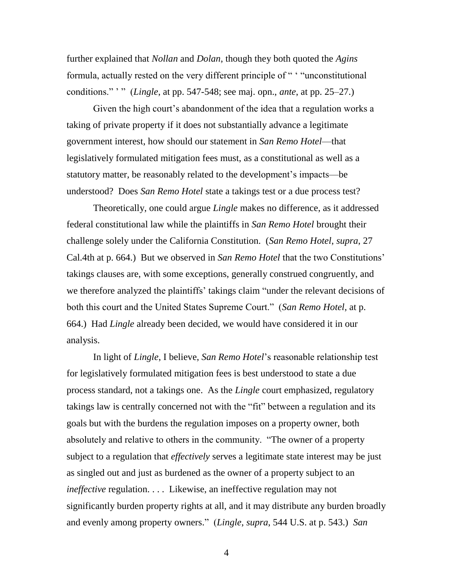further explained that *Nollan* and *Dolan*, though they both quoted the *Agins* formula, actually rested on the very different principle of " "unconstitutional" conditions." '" (*Lingle*, at pp. 547-548; see maj. opn., *ante*, at pp. 25–27.)

Given the high court's abandonment of the idea that a regulation works a taking of private property if it does not substantially advance a legitimate government interest, how should our statement in *San Remo Hotel*—that legislatively formulated mitigation fees must, as a constitutional as well as a statutory matter, be reasonably related to the development's impacts—be understood? Does *San Remo Hotel* state a takings test or a due process test?

Theoretically, one could argue *Lingle* makes no difference, as it addressed federal constitutional law while the plaintiffs in *San Remo Hotel* brought their challenge solely under the California Constitution. (*San Remo Hotel*, *supra*, 27 Cal.4th at p. 664.) But we observed in *San Remo Hotel* that the two Constitutions' takings clauses are, with some exceptions, generally construed congruently, and we therefore analyzed the plaintiffs' takings claim "under the relevant decisions of both this court and the United States Supreme Court." (*San Remo Hotel*, at p. 664.) Had *Lingle* already been decided, we would have considered it in our analysis.

In light of *Lingle*, I believe, *San Remo Hotel*'s reasonable relationship test for legislatively formulated mitigation fees is best understood to state a due process standard, not a takings one. As the *Lingle* court emphasized, regulatory takings law is centrally concerned not with the "fit" between a regulation and its goals but with the burdens the regulation imposes on a property owner, both absolutely and relative to others in the community. "The owner of a property subject to a regulation that *effectively* serves a legitimate state interest may be just as singled out and just as burdened as the owner of a property subject to an *ineffective* regulation. . . . Likewise, an ineffective regulation may not significantly burden property rights at all, and it may distribute any burden broadly and evenly among property owners." (*Lingle*, *supra*, 544 U.S. at p. 543.) *San*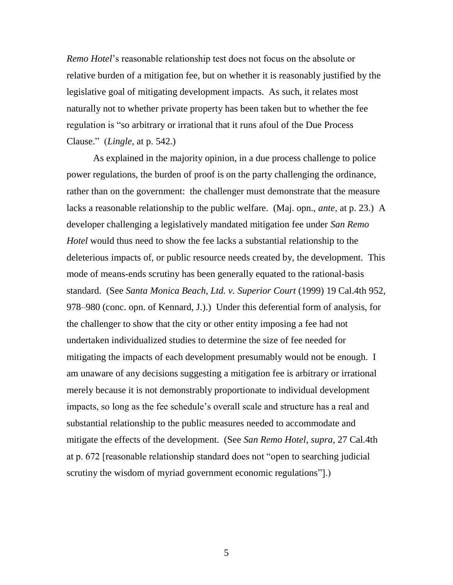*Remo Hotel*'s reasonable relationship test does not focus on the absolute or relative burden of a mitigation fee, but on whether it is reasonably justified by the legislative goal of mitigating development impacts. As such, it relates most naturally not to whether private property has been taken but to whether the fee regulation is "so arbitrary or irrational that it runs afoul of the Due Process Clause.‖ (*Lingle*, at p. 542.)

As explained in the majority opinion, in a due process challenge to police power regulations, the burden of proof is on the party challenging the ordinance, rather than on the government: the challenger must demonstrate that the measure lacks a reasonable relationship to the public welfare. (Maj. opn., *ante*, at p. 23.) A developer challenging a legislatively mandated mitigation fee under *San Remo Hotel* would thus need to show the fee lacks a substantial relationship to the deleterious impacts of, or public resource needs created by, the development. This mode of means-ends scrutiny has been generally equated to the rational-basis standard. (See *Santa Monica Beach, Ltd. v. Superior Court* (1999) 19 Cal.4th 952, 978–980 (conc. opn. of Kennard, J.).) Under this deferential form of analysis, for the challenger to show that the city or other entity imposing a fee had not undertaken individualized studies to determine the size of fee needed for mitigating the impacts of each development presumably would not be enough. I am unaware of any decisions suggesting a mitigation fee is arbitrary or irrational merely because it is not demonstrably proportionate to individual development impacts, so long as the fee schedule's overall scale and structure has a real and substantial relationship to the public measures needed to accommodate and mitigate the effects of the development. (See *San Remo Hotel*, *supra*, 27 Cal.4th at p. 672 [reasonable relationship standard does not "open to searching judicial" scrutiny the wisdom of myriad government economic regulations".)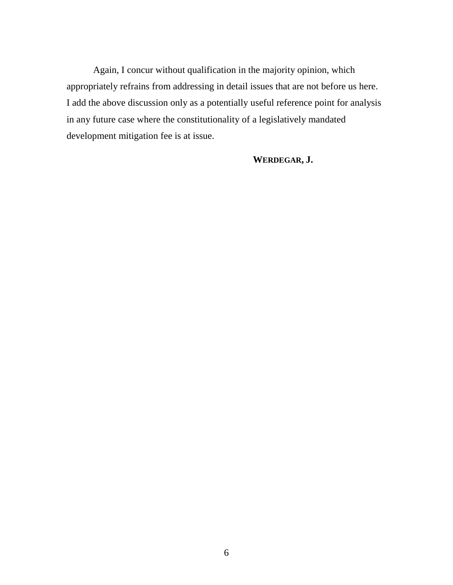Again, I concur without qualification in the majority opinion, which appropriately refrains from addressing in detail issues that are not before us here. I add the above discussion only as a potentially useful reference point for analysis in any future case where the constitutionality of a legislatively mandated development mitigation fee is at issue.

# **WERDEGAR, J.**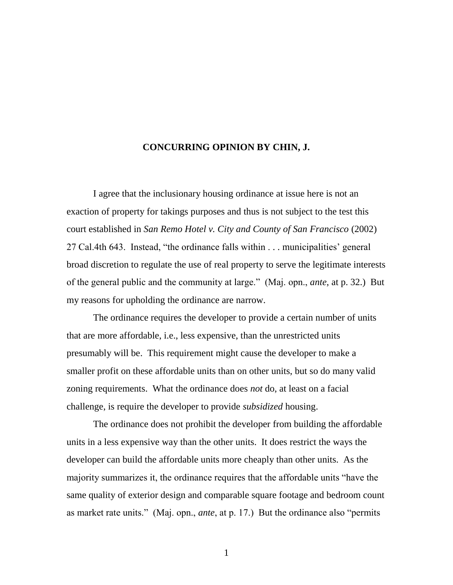#### **CONCURRING OPINION BY CHIN, J.**

I agree that the inclusionary housing ordinance at issue here is not an exaction of property for takings purposes and thus is not subject to the test this court established in *San Remo Hotel v. City and County of San Francisco* (2002) 27 Cal.4th 643. Instead, "the ordinance falls within . . . municipalities' general broad discretion to regulate the use of real property to serve the legitimate interests of the general public and the community at large.‖ (Maj. opn., *ante*, at p. 32.) But my reasons for upholding the ordinance are narrow.

The ordinance requires the developer to provide a certain number of units that are more affordable, i.e., less expensive, than the unrestricted units presumably will be. This requirement might cause the developer to make a smaller profit on these affordable units than on other units, but so do many valid zoning requirements. What the ordinance does *not* do, at least on a facial challenge, is require the developer to provide *subsidized* housing.

The ordinance does not prohibit the developer from building the affordable units in a less expensive way than the other units. It does restrict the ways the developer can build the affordable units more cheaply than other units. As the majority summarizes it, the ordinance requires that the affordable units "have the same quality of exterior design and comparable square footage and bedroom count as market rate units." (Maj. opn., *ante*, at p. 17.) But the ordinance also "permits"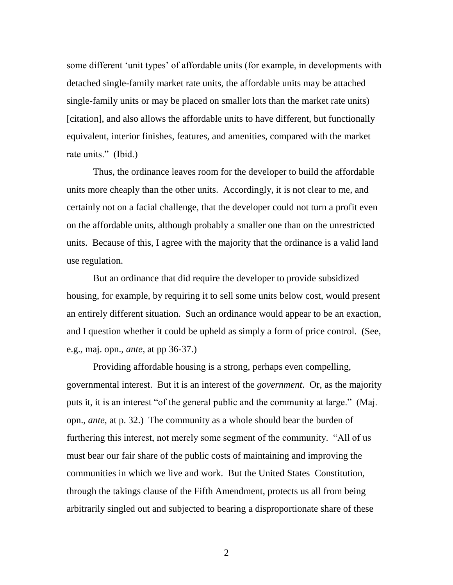some different 'unit types' of affordable units (for example, in developments with detached single-family market rate units, the affordable units may be attached single-family units or may be placed on smaller lots than the market rate units) [citation], and also allows the affordable units to have different, but functionally equivalent, interior finishes, features, and amenities, compared with the market rate units." (Ibid.)

Thus, the ordinance leaves room for the developer to build the affordable units more cheaply than the other units. Accordingly, it is not clear to me, and certainly not on a facial challenge, that the developer could not turn a profit even on the affordable units, although probably a smaller one than on the unrestricted units. Because of this, I agree with the majority that the ordinance is a valid land use regulation.

But an ordinance that did require the developer to provide subsidized housing, for example, by requiring it to sell some units below cost, would present an entirely different situation. Such an ordinance would appear to be an exaction, and I question whether it could be upheld as simply a form of price control. (See, e.g., maj. opn., *ante*, at pp 36-37.)

Providing affordable housing is a strong, perhaps even compelling, governmental interest. But it is an interest of the *government*. Or, as the majority puts it, it is an interest "of the general public and the community at large." (Maj. opn., *ante*, at p. 32.) The community as a whole should bear the burden of furthering this interest, not merely some segment of the community. "All of us must bear our fair share of the public costs of maintaining and improving the communities in which we live and work. But the United States Constitution, through the takings clause of the Fifth Amendment, protects us all from being arbitrarily singled out and subjected to bearing a disproportionate share of these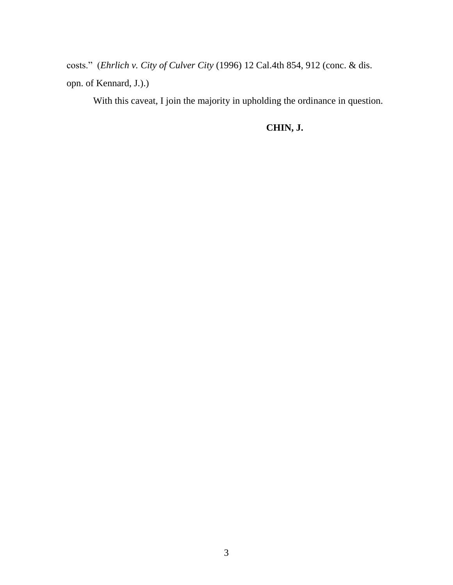costs.‖ (*Ehrlich v. City of Culver City* (1996) 12 Cal.4th 854, 912 (conc. & dis. opn. of Kennard, J.).)

With this caveat, I join the majority in upholding the ordinance in question.

# **CHIN, J.**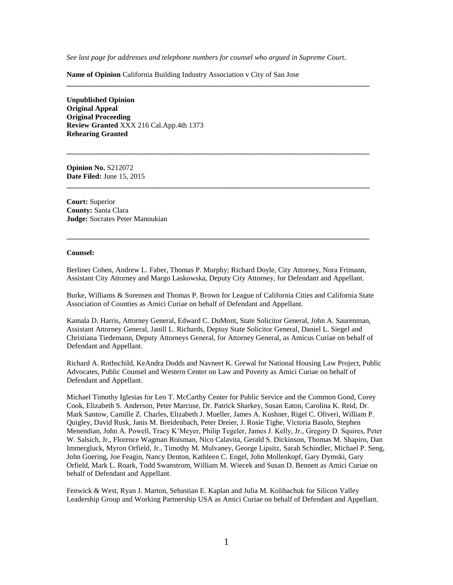*See last page for addresses and telephone numbers for counsel who argued in Supreme Court.*

**\_\_\_\_\_\_\_\_\_\_\_\_\_\_\_\_\_\_\_\_\_\_\_\_\_\_\_\_\_\_\_\_\_\_\_\_\_\_\_\_\_\_\_\_\_\_\_\_\_\_\_\_\_\_\_\_\_\_\_\_\_\_\_\_\_\_\_\_\_\_\_\_\_\_\_\_\_\_\_\_\_\_**

**\_\_\_\_\_\_\_\_\_\_\_\_\_\_\_\_\_\_\_\_\_\_\_\_\_\_\_\_\_\_\_\_\_\_\_\_\_\_\_\_\_\_\_\_\_\_\_\_\_\_\_\_\_\_\_\_\_\_\_\_\_\_\_\_\_\_\_\_\_\_\_\_\_\_\_\_\_\_\_\_\_\_**

**\_\_\_\_\_\_\_\_\_\_\_\_\_\_\_\_\_\_\_\_\_\_\_\_\_\_\_\_\_\_\_\_\_\_\_\_\_\_\_\_\_\_\_\_\_\_\_\_\_\_\_\_\_\_\_\_\_\_\_\_\_\_\_\_\_\_\_\_\_\_\_\_\_\_\_\_\_\_\_\_\_\_**

**Name of Opinion** California Building Industry Association v City of San Jose

**Unpublished Opinion Original Appeal Original Proceeding Review Granted** XXX 216 Cal.App.4th 1373 **Rehearing Granted**

**Opinion No.** S212072 **Date Filed:** June 15, 2015

**Court:** Superior **County:** Santa Clara **Judge:** Socrates Peter Manoukian

#### **Counsel:**

Berliner Cohen, Andrew L. Faber, Thomas P. Murphy; Richard Doyle, City Attorney, Nora Frimann, Assistant City Attorney and Margo Laskowska, Deputy City Attorney, for Defendant and Appellant.

**\_\_\_\_\_\_\_\_\_\_\_\_\_\_\_\_\_\_\_\_\_\_\_\_\_\_\_\_\_\_\_\_\_\_\_\_\_\_\_\_\_\_\_\_\_\_\_\_\_\_\_\_\_\_\_\_\_\_\_\_\_\_\_\_\_\_\_\_\_\_\_\_\_\_\_\_\_\_\_\_\_\_**

Burke, Williams & Sorensen and Thomas P. Brown for League of California Cities and California State Association of Counties as Amici Curiae on behalf of Defendant and Appellant.

Kamala D. Harris, Attorney General, Edward C. DuMont, State Solicitor General, John A. Saurenman, Assistant Attorney General, Janill L. Richards, Deptuy State Solicitor General, Daniel L. Siegel and Christiana Tiedemann, Deputy Attorneys General, for Attorney General, as Amicus Curiae on behalf of Defendant and Appellant.

Richard A. Rothschild, KeAndra Dodds and Navneet K. Grewal for National Housing Law Project, Public Advocates, Public Counsel and Western Center on Law and Poverty as Amici Curiae on behalf of Defendant and Appellant.

Michael Timothy Iglesias for Leo T. McCarthy Center for Public Service and the Common Good, Corey Cook, Elizabeth S. Anderson, Peter Marcuse, Dr. Patrick Sharkey, Susan Eaton, Carolina K. Reid, Dr. Mark Santow, Camille Z. Charles, Elizabeth J. Mueller, James A. Kushner, Rigel C. Oliveri, William P. Quigley, David Rusk, Janis M. Breidenbach, Peter Dreier, J. Rosie Tighe, Victoria Basolo, Stephen Menendian, John A. Powell, Tracy K'Meyer, Philip Tegeler, James J. Kelly, Jr., Gregory D. Squires, Peter W. Salsich, Jr., Florence Wagman Roisman, Nico Calavita, Gerald S. Dickinson, Thomas M. Shapiro, Dan Immergluck, Myron Orfield, Jr., Timothy M. Mulvaney, George Lipsitz, Sarah Schindler, Michael P. Seng, John Goering, Joe Feagin, Nancy Denton, Kathleen C. Engel, John Mollenkopf, Gary Dymski, Gary Orfield, Mark L. Roark, Todd Swanstrom, William M. Wiecek and Susan D. Bennett as Amici Curiae on behalf of Defendant and Appellant.

Fenwick & West, Ryan J. Marton, Sebastian E. Kaplan and Julia M. Kolibachuk for Silicon Valley Leadership Group and Working Partnership USA as Amici Curiae on behalf of Defendant and Appellant.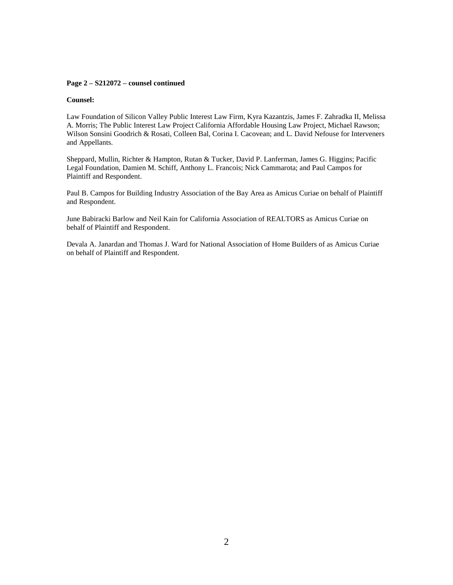### **Page 2 – S212072 – counsel continued**

### **Counsel:**

Law Foundation of Silicon Valley Public Interest Law Firm, Kyra Kazantzis, James F. Zahradka II, Melissa A. Morris; The Public Interest Law Project California Affordable Housing Law Project, Michael Rawson; Wilson Sonsini Goodrich & Rosati, Colleen Bal, Corina I. Cacovean; and L. David Nefouse for Interveners and Appellants.

Sheppard, Mullin, Richter & Hampton, Rutan & Tucker, David P. Lanferman, James G. Higgins; Pacific Legal Foundation, Damien M. Schiff, Anthony L. Francois; Nick Cammarota; and Paul Campos for Plaintiff and Respondent.

Paul B. Campos for Building Industry Association of the Bay Area as Amicus Curiae on behalf of Plaintiff and Respondent.

June Babiracki Barlow and Neil Kain for California Association of REALTORS as Amicus Curiae on behalf of Plaintiff and Respondent.

Devala A. Janardan and Thomas J. Ward for National Association of Home Builders of as Amicus Curiae on behalf of Plaintiff and Respondent.